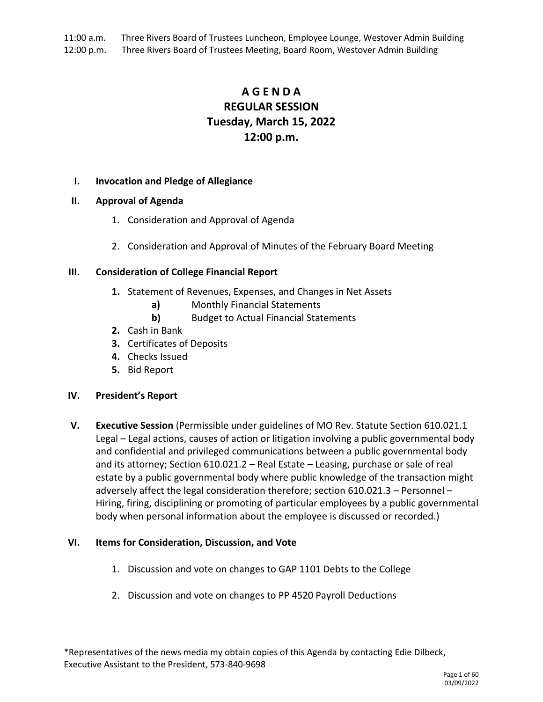11:00 a.m. Three Rivers Board of Trustees Luncheon, Employee Lounge, Westover Admin Building 12:00 p.m. Three Rivers Board of Trustees Meeting, Board Room, Westover Admin Building

### **A G E N D A REGULAR SESSION Tuesday, March 15, 2022 12:00 p.m.**

#### **I. Invocation and Pledge of Allegiance**

#### **II. Approval of Agenda**

- 1. Consideration and Approval of Agenda
- 2. Consideration and Approval of Minutes of the February Board Meeting

#### **III. Consideration of College Financial Report**

- **1.** Statement of Revenues, Expenses, and Changes in Net Assets
	- **a)** Monthly Financial Statements
	- **b)** Budget to Actual Financial Statements
- **2.** Cash in Bank
- **3.** Certificates of Deposits
- **4.** Checks Issued
- **5.** Bid Report

#### **IV. President's Report**

**V. Executive Session** (Permissible under guidelines of MO Rev. Statute Section 610.021.1 Legal – Legal actions, causes of action or litigation involving a public governmental body and confidential and privileged communications between a public governmental body and its attorney; Section 610.021.2 – Real Estate – Leasing, purchase or sale of real estate by a public governmental body where public knowledge of the transaction might adversely affect the legal consideration therefore; section 610.021.3 – Personnel – Hiring, firing, disciplining or promoting of particular employees by a public governmental body when personal information about the employee is discussed or recorded.)

#### **VI. Items for Consideration, Discussion, and Vote**

- 1. Discussion and vote on changes to GAP 1101 Debts to the College
- 2. Discussion and vote on changes to PP 4520 Payroll Deductions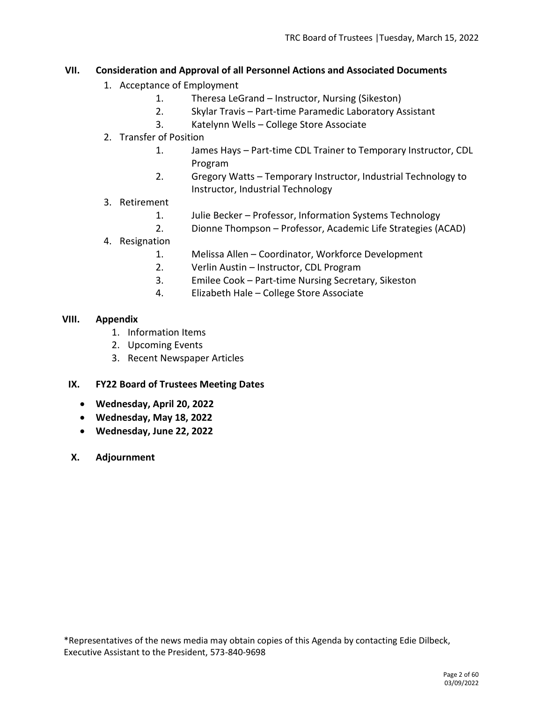#### **VII. Consideration and Approval of all Personnel Actions and Associated Documents**

- 1. Acceptance of Employment
	- 1. Theresa LeGrand Instructor, Nursing (Sikeston)
	- 2. Skylar Travis Part-time Paramedic Laboratory Assistant
	- 3. Katelynn Wells College Store Associate
- 2. Transfer of Position
	- 1. James Hays Part-time CDL Trainer to Temporary Instructor, CDL Program
	- 2. Gregory Watts Temporary Instructor, Industrial Technology to Instructor, Industrial Technology
- 3. Retirement
	- 1. Julie Becker Professor, Information Systems Technology
	- 2. Dionne Thompson Professor, Academic Life Strategies (ACAD)
- 4. Resignation
	- 1. Melissa Allen Coordinator, Workforce Development
	- 2. Verlin Austin Instructor, CDL Program
	- 3. Emilee Cook Part-time Nursing Secretary, Sikeston
	- 4. Elizabeth Hale College Store Associate

#### **VIII. Appendix**

- 1. Information Items
- 2. Upcoming Events
- 3. Recent Newspaper Articles

#### **IX. FY22 Board of Trustees Meeting Dates**

- **Wednesday, April 20, 2022**
- **Wednesday, May 18, 2022**
- **Wednesday, June 22, 2022**
- **X. Adjournment**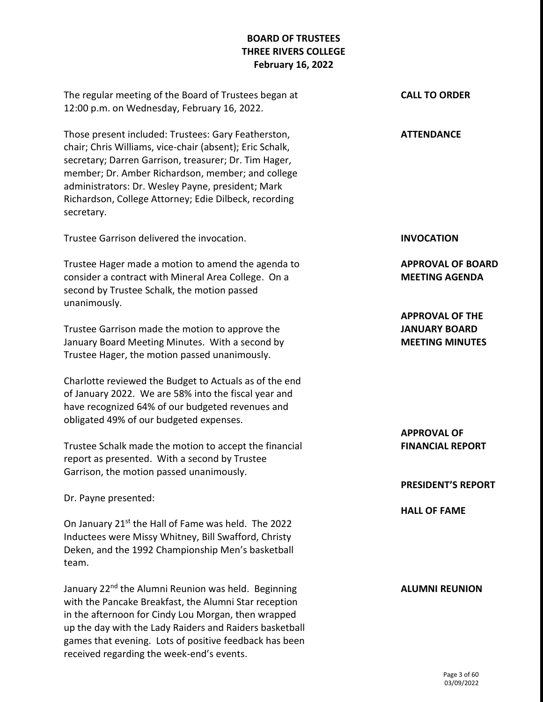#### **BOARD OF TRUSTEES THREE RIVERS COLLEGE February 16, 2022**

| The regular meeting of the Board of Trustees began at<br>12:00 p.m. on Wednesday, February 16, 2022.                                                                                                                                                                                                                                                      | <b>CALL TO ORDER</b>                              |
|-----------------------------------------------------------------------------------------------------------------------------------------------------------------------------------------------------------------------------------------------------------------------------------------------------------------------------------------------------------|---------------------------------------------------|
| Those present included: Trustees: Gary Featherston,<br>chair; Chris Williams, vice-chair (absent); Eric Schalk,<br>secretary; Darren Garrison, treasurer; Dr. Tim Hager,<br>member; Dr. Amber Richardson, member; and college<br>administrators: Dr. Wesley Payne, president; Mark<br>Richardson, College Attorney; Edie Dilbeck, recording<br>secretary. | <b>ATTENDANCE</b>                                 |
| Trustee Garrison delivered the invocation.                                                                                                                                                                                                                                                                                                                | <b>INVOCATION</b>                                 |
| Trustee Hager made a motion to amend the agenda to<br>consider a contract with Mineral Area College. On a<br>second by Trustee Schalk, the motion passed<br>unanimously.                                                                                                                                                                                  | <b>APPROVAL OF BOARD</b><br><b>MEETING AGENDA</b> |
|                                                                                                                                                                                                                                                                                                                                                           | <b>APPROVAL OF THE</b>                            |
| Trustee Garrison made the motion to approve the<br>January Board Meeting Minutes. With a second by<br>Trustee Hager, the motion passed unanimously.                                                                                                                                                                                                       | <b>JANUARY BOARD</b><br><b>MEETING MINUTES</b>    |
| Charlotte reviewed the Budget to Actuals as of the end                                                                                                                                                                                                                                                                                                    |                                                   |
| of January 2022. We are 58% into the fiscal year and                                                                                                                                                                                                                                                                                                      |                                                   |
| have recognized 64% of our budgeted revenues and                                                                                                                                                                                                                                                                                                          |                                                   |
| obligated 49% of our budgeted expenses.                                                                                                                                                                                                                                                                                                                   |                                                   |
|                                                                                                                                                                                                                                                                                                                                                           | <b>APPROVAL OF</b>                                |
| Trustee Schalk made the motion to accept the financial<br>report as presented. With a second by Trustee                                                                                                                                                                                                                                                   | <b>FINANCIAL REPORT</b>                           |
| Garrison, the motion passed unanimously.                                                                                                                                                                                                                                                                                                                  |                                                   |
| Dr. Payne presented:                                                                                                                                                                                                                                                                                                                                      | <b>PRESIDENT'S REPORT</b>                         |
|                                                                                                                                                                                                                                                                                                                                                           | <b>HALL OF FAME</b>                               |
| On January 21st the Hall of Fame was held. The 2022                                                                                                                                                                                                                                                                                                       |                                                   |
| Inductees were Missy Whitney, Bill Swafford, Christy                                                                                                                                                                                                                                                                                                      |                                                   |
| Deken, and the 1992 Championship Men's basketball<br>team.                                                                                                                                                                                                                                                                                                |                                                   |
| January 22 <sup>nd</sup> the Alumni Reunion was held. Beginning                                                                                                                                                                                                                                                                                           | <b>ALUMNI REUNION</b>                             |
| with the Pancake Breakfast, the Alumni Star reception                                                                                                                                                                                                                                                                                                     |                                                   |

in the afternoon for Cindy Lou Morgan, then wrapped up the day with the Lady Raiders and Raiders basketball games that evening. Lots of positive feedback has been

received regarding the week-end's events.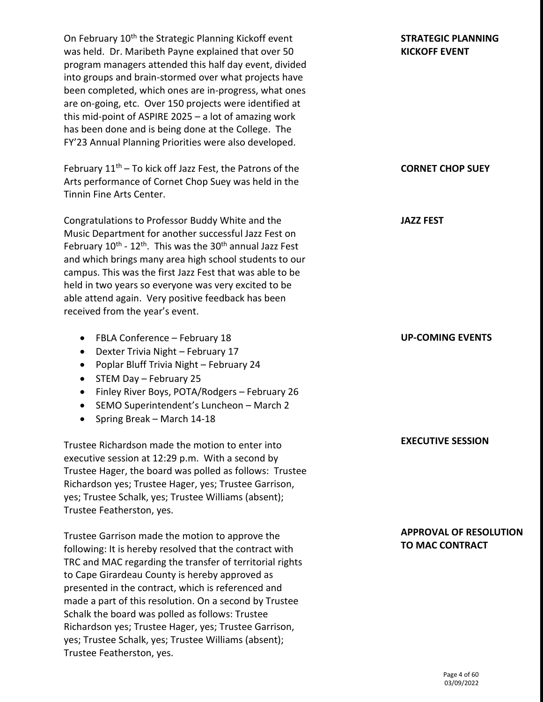On February 10<sup>th</sup> the Strategic Planning Kickoff event was held. Dr. Maribeth Payne explained that over 50 program managers attended this half day event, divided into groups and brain-stormed over what projects have been completed, which ones are in-progress, what ones are on-going, etc. Over 150 projects were identified at this mid-point of ASPIRE 2025 – a lot of amazing work has been done and is being done at the College. The FY'23 Annual Planning Priorities were also developed.

February  $11<sup>th</sup>$  – To kick off Jazz Fest, the Patrons of the Arts performance of Cornet Chop Suey was held in the Tinnin Fine Arts Center.

Congratulations to Professor Buddy White and the Music Department for another successful Jazz Fest on February 10<sup>th</sup> - 12<sup>th</sup>. This was the 30<sup>th</sup> annual Jazz Fest and which brings many area high school students to our campus. This was the first Jazz Fest that was able to be held in two years so everyone was very excited to be able attend again. Very positive feedback has been received from the year's event.

- FBLA Conference February 18
- Dexter Trivia Night February 17
- Poplar Bluff Trivia Night February 24
- STEM Day February 25
- Finley River Boys, POTA/Rodgers February 26
- SEMO Superintendent's Luncheon March 2
- Spring Break March 14-18

Trustee Richardson made the motion to enter into executive session at 12:29 p.m. With a second by Trustee Hager, the board was polled as follows: Trustee Richardson yes; Trustee Hager, yes; Trustee Garrison, yes; Trustee Schalk, yes; Trustee Williams (absent); Trustee Featherston, yes.

Trustee Garrison made the motion to approve the following: It is hereby resolved that the contract with TRC and MAC regarding the transfer of territorial rights to Cape Girardeau County is hereby approved as presented in the contract, which is referenced and made a part of this resolution. On a second by Trustee Schalk the board was polled as follows: Trustee Richardson yes; Trustee Hager, yes; Trustee Garrison, yes; Trustee Schalk, yes; Trustee Williams (absent); Trustee Featherston, yes.

#### **STRATEGIC PLANNING KICKOFF EVENT**

**CORNET CHOP SUEY**

**JAZZ FEST**

**UP-COMING EVENTS**

**EXECUTIVE SESSION**

**APPROVAL OF RESOLUTION TO MAC CONTRACT**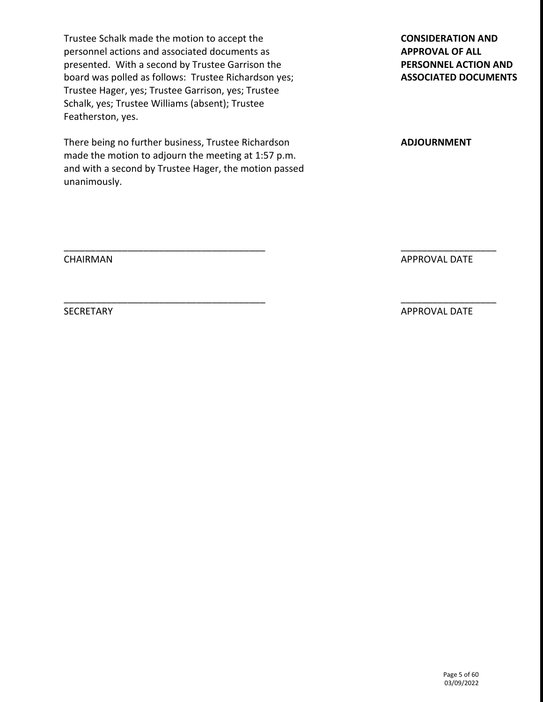Trustee Schalk made the motion to accept the personnel actions and associated documents as presented. With a second by Trustee Garrison the board was polled as follows: Trustee Richardson yes; Trustee Hager, yes; Trustee Garrison, yes; Trustee Schalk, yes; Trustee Williams (absent); Trustee Featherston, yes.

There being no further business, Trustee Richardson made the motion to adjourn the meeting at 1:57 p.m. and with a second by Trustee Hager, the motion passed unanimously.

\_\_\_\_\_\_\_\_\_\_\_\_\_\_\_\_\_\_\_\_\_\_\_\_\_\_\_\_\_\_\_\_\_\_\_\_\_\_

\_\_\_\_\_\_\_\_\_\_\_\_\_\_\_\_\_\_\_\_\_\_\_\_\_\_\_\_\_\_\_\_\_\_\_\_\_\_

**CONSIDERATION AND APPROVAL OF ALL PERSONNEL ACTION AND ASSOCIATED DOCUMENTS**

**ADJOURNMENT**

CHAIRMAN

APPROVAL DATE

\_\_\_\_\_\_\_\_\_\_\_\_\_\_\_\_\_\_

\_\_\_\_\_\_\_\_\_\_\_\_\_\_\_\_\_\_

**SECRETARY** 

APPROVAL DATE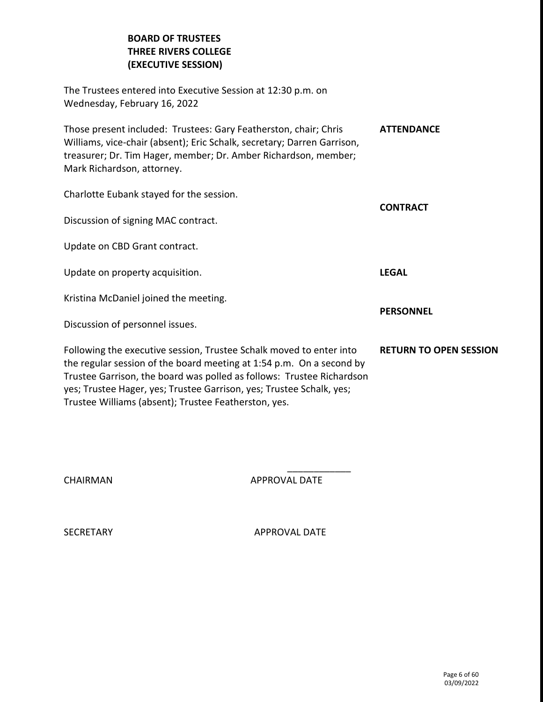#### **BOARD OF TRUSTEES THREE RIVERS COLLEGE (EXECUTIVE SESSION)**

The Trustees entered into Executive Session at 12:30 p.m. on Wednesday, February 16, 2022 Those present included: Trustees: Gary Featherston, chair; Chris Williams, vice-chair (absent); Eric Schalk, secretary; Darren Garrison, treasurer; Dr. Tim Hager, member; Dr. Amber Richardson, member; Mark Richardson, attorney. Charlotte Eubank stayed for the session. Discussion of signing MAC contract. Update on CBD Grant contract. Update on property acquisition. Kristina McDaniel joined the meeting. Discussion of personnel issues. Following the executive session, Trustee Schalk moved to enter into the regular session of the board meeting at 1:54 p.m. On a second by Trustee Garrison, the board was polled as follows: Trustee Richardson yes; Trustee Hager, yes; Trustee Garrison, yes; Trustee Schalk, yes; Trustee Williams (absent); Trustee Featherston, yes. **ATTENDANCE CONTRACT LEGAL PERSONNEL RETURN TO OPEN SESSION**

CHAIRMAN APPROVAL DATE

 $\mathcal{L}_\text{max}$  , and the contract of the contract of the contract of the contract of the contract of the contract of the contract of the contract of the contract of the contract of the contract of the contract of the contr

SECRETARY APPROVAL DATE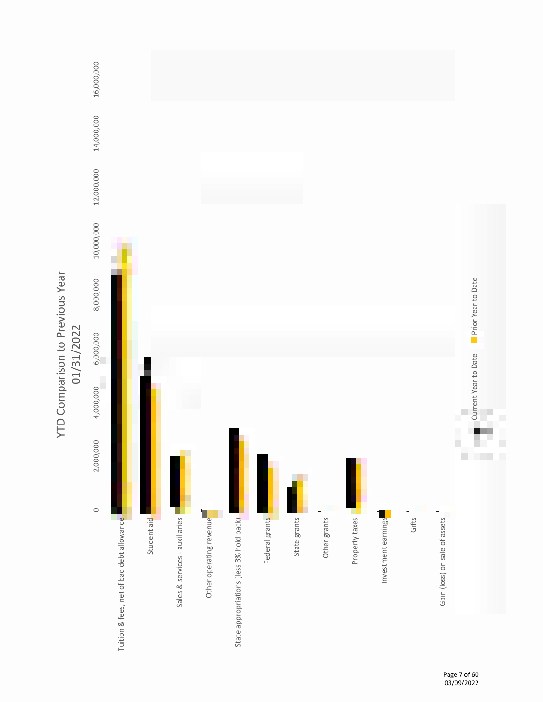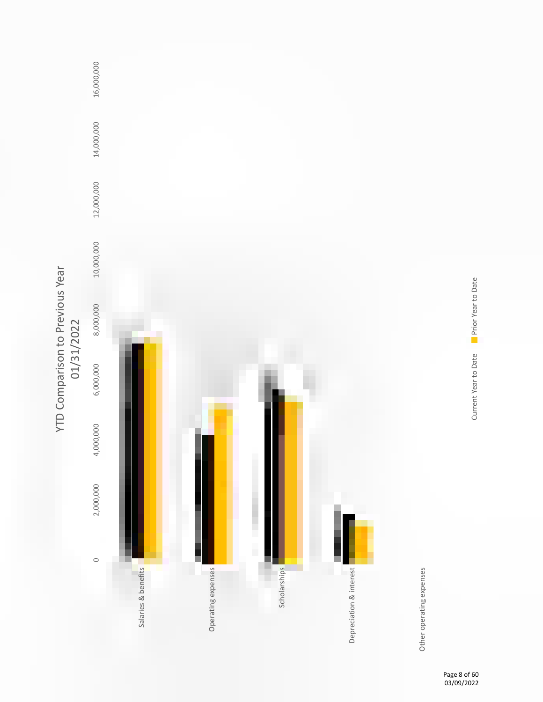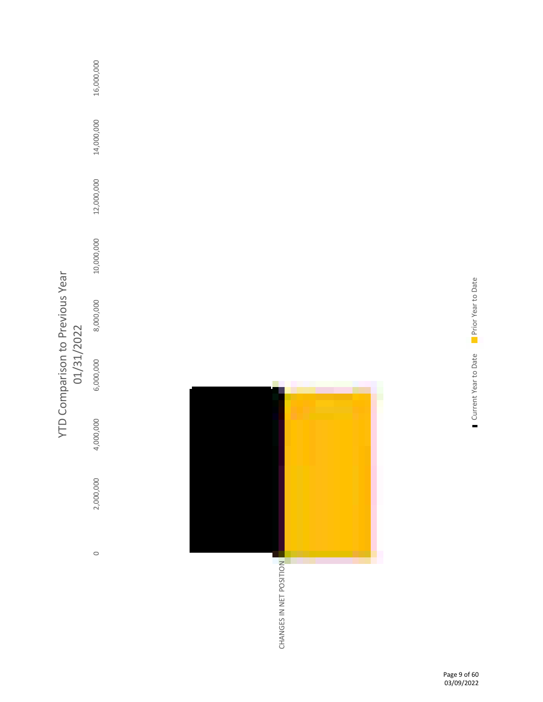YTD Comparison to Previous Year YTD Comparison to Previous Year<br>01/31/2022

16,000,000 0 2,000,000 4,000,000 6,000,000 8,000,000 10,000,000 12,000,000 14,000,000 16,000,000 14,000,000 12,000,000 10,000,000 8,000,000 6,000,000 4,000,000 2,000,000  $\circ$ 



Current Year to Date Prior Year to Date Current Year to Date Prior Year to Date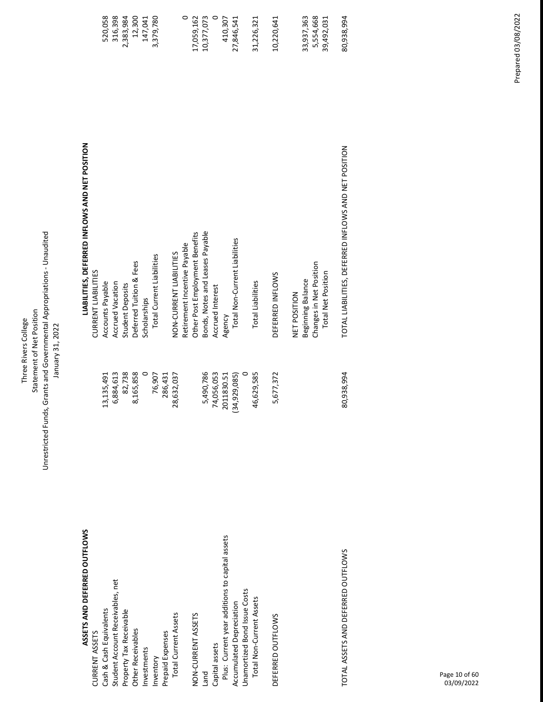Unrestricted Funds, Grants and Governmental Appropriations - Unaudited Unrestricted Funds, Grants and Governmental Appropriations - Unaudited Statement of Net Position Statement of Net Position Three Rivers College Three Rivers College January 31, 2022 January 31, 2022

#### 17,059,162 10,377,073 410,307 10,220,641 33,937,363 5,554,668 Cash & Cash Equivalents 13,135,491 Accounts Payable 520,058 Student Acceivables, net  $\beta$ sceivables, net 6,884,613 Accrued Vacation 316,398 2,383,984 Property Tax Receivable 82,738,984, Student Deposits 2,738 Student Deposits 2,238 Student Deposits 2,383,984 Other Receivables 8,165,858 Deferred Tuition & Fees 12,300 147,041 Investments Scholarships 147,041 3,379,780 Inventory 76,907 Total Current Liabilities 3,379,780 Retirement Incentive Payable 0 NON-CURRENT ASSETS Other Post Employment Benefits 17,059,162 Land Bonds, Notes and Leases Payable 5,490,786 Bonds, Notes and Leases Payable 10,377,073 Capital assets 74,056,053 Accrued Interest 0 Plus: Current year additions to capital assets 2011830.51 Agency 410,307 27,846,541 Accumulated Depreciation (34,929,085) Total Non-Current Liabilities 27,846,541 31,226,321 Total Non-Current Assets 46,629,585 Total Liabilities 31,226,321 DEFERRED OUTFLOWS 5,677,372 DEFERRED INFLOWS 10,220,641 Beginning Balance 33,937,363 Changes in Net Position 5,554,668 39,492,031 Total Net Position 39,492,031 80,938,994 TOTAL ASSETS AND DEFERRED OUTFLOWS 80,938,994 TOTAL LIABILITIES, DEFERRED INFLOWS AND NET POSITION 80,938,994 LIABILITIES, DEFERRED INFLOWS AND NET POSITION **ASSETS AND DEFERRED OUTFLOWS LIABILITIES, DEFERRED INFLOWS AND NET POSITION** TOTAL LIABILITIES, DEFERRED INFLOWS AND NET POSITION Bonds, Notes and Leases Payable Other Post Employment Benefits Total Non-Current Liabilities Retirement Incentive Payable NON-CURRENT LIABILITIES  $\Gamma$  Total Current Assets  $287{,}632{,}632{,}637$  and  $287{,}637$  and  $287{,}637$  non-current Assets **Total Current Liabilities** Deferred Tuition & Fees Changes in Net Position CURRENT LIABILITIES **Total Net Position** CURRENT ASSETS CURRENT LIABILITIES DEFERRED INFLOWS Beginning Balance **Accounts Payable Accrued Vacation Total Liabilities** Student Deposits Accrued Interest NET POSITION NET POSITION Scholarships Agency 76,907 5,490,786 5,677,372 6,884,613 82,738 8,165,858 286,431 28,632,037 74,056,053 2011830.51 34,929,085) 46,629,585 80,938,994 13,135,491 Prepaid Expenses 286,431 Unamortized Bond Issue Costs 0 ASSETS AND DEFERRED OUTFLOWS Plus: Current year additions to capital assets TOTAL ASSETS AND DEFERRED OUTFLOWS Student Account Receivables, net Unamortized Bond Issue Costs Total Non-Current Assets **Accumulated Depreciation** Cash & Cash Equivalents Property Tax Receivable **Total Current Assets VON-CURRENT ASSETS** DEFERRED OUTFLOWS **Other Receivables** Prepaid Expenses **CURRENT ASSETS** Capital assets Investments Inventory Land

12,300

520,058 316,398  $\circ$ 

 $\circ$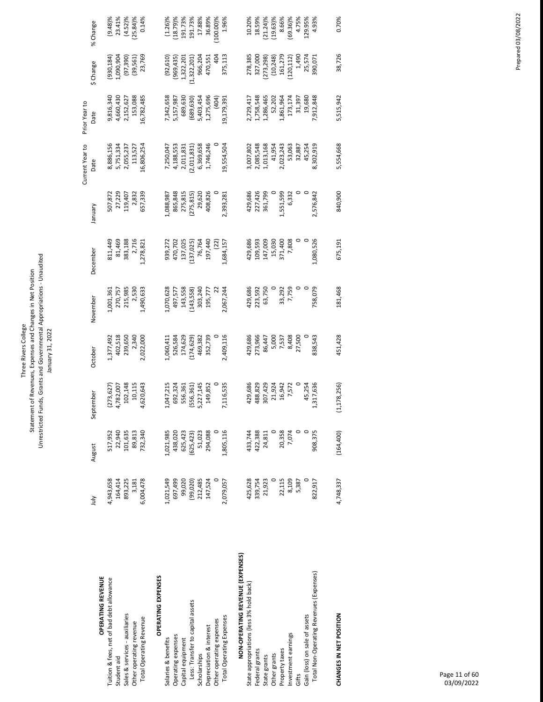Three Rivers College<br>Statement of Revenues, Expenses and Changes in Net Position<br>Unrestricted Funds, Grants and Governmental Appropriations - Unaudited Unrestricted Funds, Grants and Governmental Appropriations - Unaudited Statement of Revenues, Expenses and Changes in Net Position Three Rivers College January 31, 2022

|                                           |               |            |                           |                                            |                                          |                                       |                                    | Current Year to        | Prior Year to                               |                         |                                 |
|-------------------------------------------|---------------|------------|---------------------------|--------------------------------------------|------------------------------------------|---------------------------------------|------------------------------------|------------------------|---------------------------------------------|-------------------------|---------------------------------|
|                                           | $\frac{1}{2}$ | August     | imber<br>Septe            | Octobei                                    | November                                 | December                              | January                            | Date                   | Date                                        | \$ Change               | % Change                        |
| OPERATING REVENUE                         |               |            |                           |                                            |                                          |                                       |                                    |                        |                                             |                         |                                 |
| Tuition & fees, net of bad debt allowance | 4,943,658     | 517,952    | (273, 627)                | 1,377,49                                   |                                          | 811,449                               | 507,872                            | 8,886,15               | 9,816,34                                    | 930,184                 |                                 |
| Student aid                               | 164,414       | 22,940     |                           | 402,518                                    |                                          |                                       |                                    |                        |                                             | 1,090,904               |                                 |
| Sales & services - auxiliaries            | 893,225       | 101,635    | 4,782,007<br>102,148      | 239,650                                    |                                          |                                       | 27,229<br>119,407                  | 5,751,334<br>2,055,237 | 4,660,430<br>2,152,627                      | (97, 390)               | $(9.48)\%$<br>23.41%<br>(4.52)% |
| Other operating revenue                   | 3,181         | 89,813     | 10,115                    | 2,340                                      | 1,001,361<br>270,757<br>215,985<br>2,530 | 81,469<br>383,188<br>2,716            | 2,832                              | 113,527                | 153,088                                     | (39, 561)               | $(25.84)\%$                     |
| Total Operating Revenue                   | 6,004,478     | 732,340    | 620,643<br>4              | 2,022,000                                  | 1,490,63                                 | 1,278,821                             | 657,339                            | 16,806,254             | 16,782,48                                   | 23,769                  | 0.14%                           |
| <b>OPERATING EXPENSES</b>                 |               |            |                           |                                            |                                          |                                       |                                    |                        |                                             |                         |                                 |
| Salaries & benefits                       | 1,021,549     | 1,021,985  | ,047,215                  | ,060,41                                    | ,070,628                                 |                                       | ,088,98                            |                        | ,342,658                                    | (92, 610)               |                                 |
| Operating expenses                        | 697,499       | 438,020    | 692,324                   |                                            |                                          |                                       |                                    | 7,250,047<br>4,188,553 | 5,157,98                                    | (969,435                | $(1.26)\%$<br>(18.79)%          |
| Capital equipment                         | 99,020        | 625,423    | 556,361                   | 526,584<br>174,629                         | 497,577<br>143,558                       | 939,272<br>470,702<br>137,025         | 865,848<br>275,815                 | 2,011,83               | 689,630                                     | 1,322,201               | 191.73%                         |
| Less: Transfer to capital assets          | (99, 020)     | (625, 423) | (556,361)                 | (174, 629)                                 | (143, 558)                               | (137, 025)                            | (275, 815)                         | 2,011,831              | (689,630                                    | 1,322,201               | 191.73%<br>17.88%<br>36.89%     |
| Scholarships                              | 212,485       | 51,023     | 5,227,145                 | 469,382                                    | 303,240<br>195,777<br>22                 | 76,764                                | 29,620<br>408,826                  |                        |                                             | 966,204                 |                                 |
| Depreciation & interest                   | 147,524       | 294,088    | 149,852                   | 352,739                                    |                                          | 197,440                               |                                    | 6,369,658<br>1,746,246 | 5,403,454<br>1,275,696                      | 470,55                  |                                 |
| Other operating expenses                  |               |            |                           |                                            |                                          | (22)                                  |                                    |                        | (404)                                       | 404                     | (00.00)                         |
| <b>Total Operating Expenses</b>           | 2,079,057     | 1,805,116  | 116,535                   | 2,409,116                                  | ,067,244                                 | ,684,15                               | 2,393,28                           | 9,554,504              | 9,179,39                                    | 375,113                 | 1.96%                           |
| NON-OPERATING REVENUE (EXPENSES)          |               |            |                           |                                            |                                          |                                       |                                    |                        |                                             |                         |                                 |
| State appropriations (less 3% hold back)  | 425,628       | 433,744    | 429,686                   |                                            | 129,686                                  | 429,686                               |                                    |                        |                                             |                         | 10.20%                          |
| Federal grants                            | 339,754       | 422,388    | 488,829                   | 429,686<br>273,966                         | 223,592<br>63,750<br>0                   | 109,593                               | 429,686<br>227,426<br>361,799<br>1 | 3,007,802<br>2,085,548 | 2,729,417<br>1,758,548                      | 278,385<br>327,000      | 18.59%                          |
| State grants                              | 21,923        | 24,811     | 307,429                   | 86,447<br>5,000<br>7,537<br>8,408<br>8,408 |                                          | 147,009<br>15,030<br>371,400<br>7,808 |                                    | 1,013,168              | 1,286,465<br>52,202<br>1,861,964<br>173,174 | 273,298)                | $(21.24)\%$                     |
| Other grants                              |               |            |                           |                                            |                                          |                                       |                                    | 41,954                 |                                             |                         | $(19.63)\%$                     |
| Property taxes                            | 22,115        | 20,358     | 21,924<br>16,942<br>7,572 |                                            | 33,292<br>7,759                          |                                       | 1,551,599                          | 2,023,243              |                                             | $(10,248)$<br>$161,279$ | 8.66%                           |
| Investment earnings                       | 8,109         | 7,074      |                           |                                            |                                          |                                       | 6,332                              | 53,063                 |                                             | (120, 112)              | $(69.36)\%$                     |
| Gifts                                     | 5,387         |            |                           | 27,500                                     |                                          |                                       |                                    | 32,887                 |                                             |                         | 4.75%                           |
| Gain (loss) on sale of assets             |               |            | 45,254                    |                                            |                                          |                                       |                                    | 45,254                 | 31,397<br>19,680                            | 1,490<br>25,574         | 129.95%                         |
| Total Non-Operating Revenues (Expenses)   | 822,917       | 908,375    | 317,636                   | 838,543                                    | 758,079                                  | 1,080,526                             | 2,576,84                           | ,302,91                | 912,848                                     | 390,07                  | 4.93%                           |
|                                           |               |            |                           |                                            |                                          |                                       |                                    |                        |                                             |                         |                                 |
| CHANGES IN NET POSITION                   | 4,748,337     | (164, 400) | (1, 178, 256)             | 451,428                                    | 181,468                                  | 675,191                               | 840,900                            | 5,554,668              | 5,515,942                                   | 38,726                  | 0.70%                           |
|                                           |               |            |                           |                                            |                                          |                                       |                                    |                        |                                             |                         |                                 |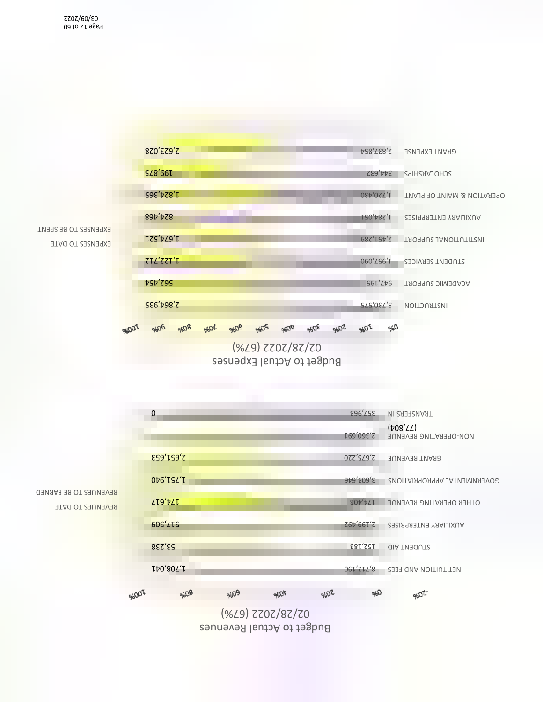

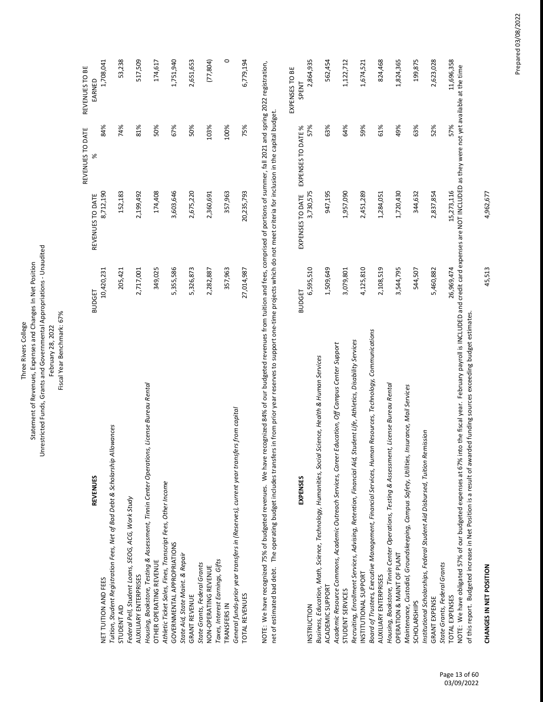# Unrestricted Funds, Grants and Governmental Appropriations - Unaudited Unrestricted Funds, Grants and Governmental Appropriations - Unaudited Statement of Revenues, Expenses and Changes In Net Position Statement of Revenues, Expenses and Changes In Net Position Fiscal Year Benchmark: 67% Fiscal Year Benchmark: 67% Three Rivers College Three Rivers College February 28, 2022 February 28, 2022

|                                                                                           |               |                  | REVENUES TO DATE | REVENUES TO BE |
|-------------------------------------------------------------------------------------------|---------------|------------------|------------------|----------------|
| <b>REVENUES</b>                                                                           | <b>BUDGET</b> | REVENUES TO DATE | ৯                | EARNED         |
| NET TUITION AND FEES                                                                      | 10,420,231    | 8,712,190        | 84%              | 1,708,041      |
| Tuition, Student Registration Fees, Net of Bad Debt & Scholarship Allowances              |               |                  |                  |                |
| <b>STUDENT AID</b>                                                                        | 205,421       | 152,183          | 74%              | 53,238         |
| Federal Pell, Student Loans, SEOG, ACG, Work Study                                        |               |                  |                  |                |
| AUXILIARY ENTERPRISES                                                                     | 2,717,001     | 2,199,492        | 81%              | 517,509        |
| Housing, Bookstore, Testing & Assessment, Tinnin Center Operations, License Bureau Rental |               |                  |                  |                |
| OTHER OPERATING REVENUE                                                                   | 349,025       | 174,408          | 50%              | 174,617        |
| Athletic Ticket Sales, Fines, Transcript Fees, Other Income                               |               |                  |                  |                |
| GOVERNMENTAL APPROPRIATIONS                                                               | 5,355,586     | 3,603,646        | 67%              | 1,751,940      |
| State Aid, State Maint. & Repair                                                          |               |                  |                  |                |
| <b>GRANT REVENUE</b>                                                                      | 5,326,873     | 2,675,220        | 50%              | 2,651,653      |
| State Grants, Federal Grants                                                              |               |                  |                  |                |
| NON-OPERATING REVENUE                                                                     | 2,282,887     | 2,360,691        | 103%             | (77, 804)      |
| Taxes, Interest Earnings, Gifts                                                           |               |                  |                  |                |
| TRANSFERS IN                                                                              | 357,963       | 357,963          | 100%             |                |
| General funds-prior year transfers in (Reserves), current year transfers from capital     |               |                  |                  |                |
| TOTAL REVENUES                                                                            | 27,014,987    | 20,235,793       | 75%              | 6,779,194      |
|                                                                                           |               |                  |                  |                |

NOTE: We have recognized 75% of budgeted revenues. We have recognized 84% of our budgeted revenues from tuition and fees, comprised of portions of summer, fall 2021 and spring 2022 registration,<br>net of estimated bad debt. NOTE: We have recognized 75% of budgeted revenues. We have recognized 84% of our budgeted revenues from tuition and fees, comprised of portions of summer, fall 2021 and spring 2022 registration, net of estimated bad debt. The operating budget includes transfers in from prior year reserves to support one-time projects which do not meet criteria for inclusion in the capital budget.

| EXPENSES                                                                                                                                                                                            | <b>BUDGET</b> | EXPENSES TO DATE | EXPENSES TO DATE % | EXPENSES TO BE<br><b>SPENT</b> |
|-----------------------------------------------------------------------------------------------------------------------------------------------------------------------------------------------------|---------------|------------------|--------------------|--------------------------------|
| INSTRUCTION                                                                                                                                                                                         | 6,595,510     | 3,730,575        | 57%                | 2,864,935                      |
| Science, Health & Human Services<br>Business, Education, Math, Science, Technology, Humanities, Social                                                                                              |               |                  |                    |                                |
| ACADEMIC SUPPORT                                                                                                                                                                                    | 1,509,649     | 947,195          | 63%                | 562,454                        |
| Education, Off Campus Center Support<br>Academic Resource Commons, Academic Outreach Services, Career                                                                                               |               |                  |                    |                                |
| STUDENT SERVICES                                                                                                                                                                                    | 3,079,801     | 1,957,090        | 64%                | 1,122,712                      |
| Recruiting, Enrollment Services, Advising, Retention, Financial Aid, Student Life, Athletics, Disability Services                                                                                   |               |                  |                    |                                |
| INSTITUTIONAL SUPPORT                                                                                                                                                                               | 4,125,810     | 2,451,289        | 59%                | 1,674,521                      |
| Board of Trustees, Executive Management, Financial Services, Human Resources, Technology, Communications                                                                                            |               |                  |                    |                                |
| AUXILIARY ENTERPRISES                                                                                                                                                                               | 2,108,519     | 1,284,051        | 61%                | 824,468                        |
| Housing, Bookstore, Tinnin Center Operations, Testing & Assessment, License Bureau Rental                                                                                                           |               |                  |                    |                                |
| OPERATION & MAINT OF PLANT                                                                                                                                                                          | 3,544,795     | 1,720,430        | 49%                | 1,824,365                      |
| Maintenance, Custodial, Groundskeeping, Campus Safety, Utilities, Insurance, Mail Services                                                                                                          |               |                  |                    |                                |
| <b>SCHOLARSHIPS</b>                                                                                                                                                                                 | 544,507       | 344,632          | 63%                | 199,875                        |
| Institutional Scholarships, Federal Student Aid Disbursed, Tuition Remission                                                                                                                        |               |                  |                    |                                |
| <b>GRANT EXPENSE</b>                                                                                                                                                                                | 5,460,882     | 2,837,854        | 52%                | 2,623,028                      |
| State Grants, Federal Grants                                                                                                                                                                        |               |                  |                    |                                |
| TOTAL EXPENSES                                                                                                                                                                                      | 26,969,474    | 15,273,116       | 57%                | 11.696.358                     |
| NOTE: We have obligated 57% of our budgeted expenses at 67% into the fiscal year. February payroll is INCLUDED and credit card expenses are NOT INCLUDED as they were not yet available at the time |               |                  |                    |                                |
| of this report. Budgeted increase in Net Position is a result of awarded funding sources exceeding budget estimates.                                                                                |               |                  |                    |                                |

# CHANGES IN NET POSITION

4,962,677 **CHANGES IN NET POSITION** 45,513 4,962,677 45,513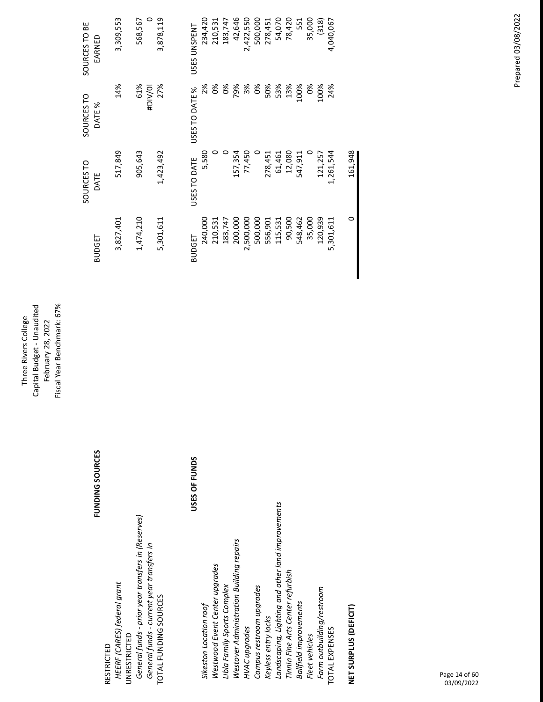#### Capital Budget - Unaudited February 28, 2022<br>Fiscal Year Benchmark: 67% Fiscal Year Benchmark: 67% Capital Budget - Unaudited Three Rivers College Three Rivers College February 28, 2022

| FUNDING SOURCES                                    | <b>BUDGET</b> | SOURCES TO<br>DATE | SOURCES TO<br>DATE % | SOURCES TO BE<br>EARNED |
|----------------------------------------------------|---------------|--------------------|----------------------|-------------------------|
| <b>RESTRICTED</b>                                  |               |                    |                      |                         |
| HEERF (CARES) federal grant                        | 3,827,401     | 517,849            | 14%                  | 3,309,553               |
| UNRESTRICTED                                       |               |                    |                      |                         |
| General funds - prior year transfers in (Reserves) | 1,474,210     | 905,643            | 61%                  | 568,567                 |
| General funds - current year transfers in          |               |                    | #DIV/0!              | $\circ$                 |
| TOTAL FUNDING SOURCES                              | 5,301,611     | 1,423,492          | 27%                  | 3,878,119               |
|                                                    |               |                    |                      |                         |
| USES OF FUNDS                                      | <b>BUDGET</b> | USES TO DATE       | USES TO DATE %       | USES UNSPENT            |
| Sikeston Location roof                             | 240,000       | 5,580              | 2%                   | 234,420                 |
| Westwood Event Center upgrades                     | 210,531       |                    |                      | 210,531                 |
| Libla Family Sports Complex                        | 183,747       |                    | ఠ శ                  | 183,747                 |
| Westover Administration Building repairs           | 200,000       | 157,354            |                      | 42,646                  |
| HVAC upgrades                                      | 2,500,000     | 77,450             |                      | 2,422,550               |
| Campus restroom upgrades                           | 500,000       |                    |                      | 500,000                 |
| Keyless entry locks                                | 556,901       | 278,451            |                      | 278,451                 |
| Landscaping, Lighting and other land improvements  | 115,531       |                    |                      | 54,070                  |
| Tinnin Fine Arts Center refurbish                  | 90,500        | 61,461<br>12,080   |                      | 78,420                  |
| <b>Ballfield improvements</b>                      | 548,462       | 547,911            | 100%                 | 551                     |
| Fleet vehicles                                     | 35,000        |                    | 0%                   | 35,000                  |
| Farm outbuilding/restroom                          | 120,939       | 121,257            | 100%                 | (318)                   |
| TOTAL EXPENSES                                     | 5,301,611     | 1,261,544          | 24%                  | 4,040,067               |
| NET SURPLUS (DEFICIT)                              |               | 161,948            |                      |                         |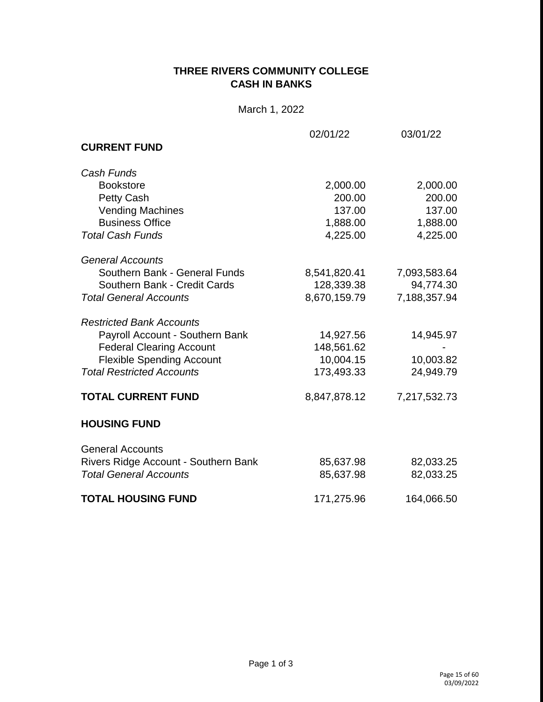#### **THREE RIVERS COMMUNITY COLLEGE CASH IN BANKS**

March 1, 2022

|                                      | 02/01/22     | 03/01/22     |
|--------------------------------------|--------------|--------------|
| <b>CURRENT FUND</b>                  |              |              |
| Cash Funds                           |              |              |
| <b>Bookstore</b>                     | 2,000.00     | 2,000.00     |
| Petty Cash                           | 200.00       | 200.00       |
| <b>Vending Machines</b>              | 137.00       | 137.00       |
| <b>Business Office</b>               | 1,888.00     | 1,888.00     |
| <b>Total Cash Funds</b>              | 4,225.00     | 4,225.00     |
| <b>General Accounts</b>              |              |              |
| Southern Bank - General Funds        | 8,541,820.41 | 7,093,583.64 |
| Southern Bank - Credit Cards         | 128,339.38   | 94,774.30    |
| <b>Total General Accounts</b>        | 8,670,159.79 | 7,188,357.94 |
| <b>Restricted Bank Accounts</b>      |              |              |
| Payroll Account - Southern Bank      | 14,927.56    | 14,945.97    |
| <b>Federal Clearing Account</b>      | 148,561.62   |              |
| <b>Flexible Spending Account</b>     | 10,004.15    | 10,003.82    |
| <b>Total Restricted Accounts</b>     | 173,493.33   | 24,949.79    |
| <b>TOTAL CURRENT FUND</b>            | 8,847,878.12 | 7,217,532.73 |
| <b>HOUSING FUND</b>                  |              |              |
| <b>General Accounts</b>              |              |              |
| Rivers Ridge Account - Southern Bank | 85,637.98    | 82,033.25    |
| <b>Total General Accounts</b>        | 85,637.98    | 82,033.25    |
| <b>TOTAL HOUSING FUND</b>            | 171,275.96   | 164,066.50   |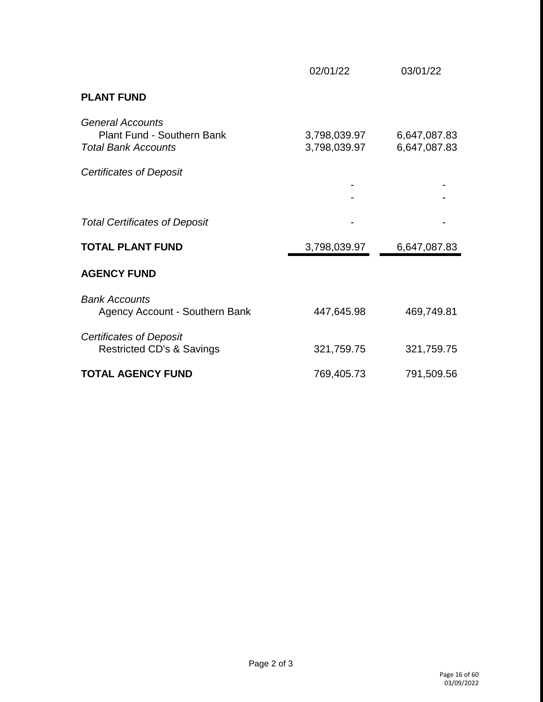|                                                                                            | 02/01/22                     | 03/01/22                     |
|--------------------------------------------------------------------------------------------|------------------------------|------------------------------|
| <b>PLANT FUND</b>                                                                          |                              |                              |
| <b>General Accounts</b><br><b>Plant Fund - Southern Bank</b><br><b>Total Bank Accounts</b> | 3,798,039.97<br>3,798,039.97 | 6,647,087.83<br>6,647,087.83 |
| Certificates of Deposit                                                                    |                              |                              |
|                                                                                            |                              |                              |
| <b>Total Certificates of Deposit</b>                                                       |                              |                              |
| <b>TOTAL PLANT FUND</b>                                                                    | 3,798,039.97                 | 6,647,087.83                 |
| <b>AGENCY FUND</b>                                                                         |                              |                              |
| <b>Bank Accounts</b><br>Agency Account - Southern Bank                                     | 447,645.98                   | 469,749.81                   |
| Certificates of Deposit<br>Restricted CD's & Savings                                       | 321,759.75                   | 321,759.75                   |
| <b>TOTAL AGENCY FUND</b>                                                                   | 769,405.73                   | 791,509.56                   |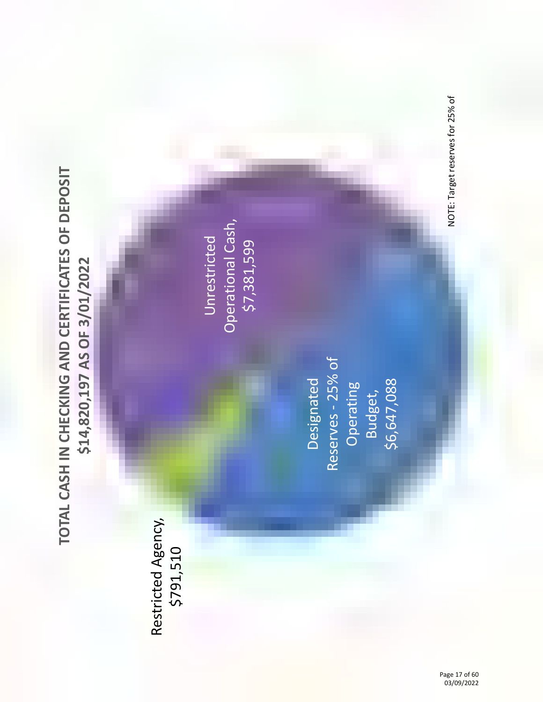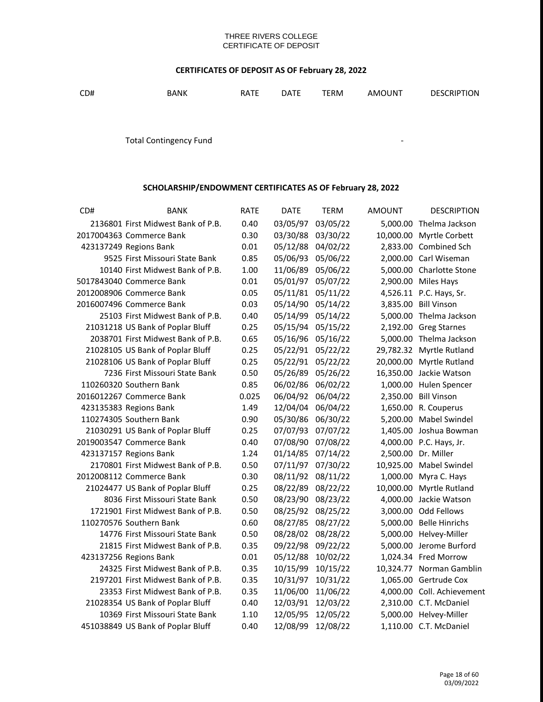#### THREE RIVERS COLLEGE CERTIFICATE OF DEPOSIT

#### **CERTIFICATES OF DEPOSIT AS OF February 28, 2022**

| <b>DESCRIPTION</b><br>AMOUNT<br>CD#<br>TERM<br><b>DATE</b><br>RATE<br>BANK |
|----------------------------------------------------------------------------|
|----------------------------------------------------------------------------|

Total Contingency Fund **Fund -**

#### **SCHOLARSHIP/ENDOWMENT CERTIFICATES AS OF February 28, 2022**

| CD# | BANK                               | <b>RATE</b> | <b>DATE</b> | TERM     | AMOUNT | <b>DESCRIPTION</b>         |
|-----|------------------------------------|-------------|-------------|----------|--------|----------------------------|
|     | 2136801 First Midwest Bank of P.B. | 0.40        | 03/05/97    | 03/05/22 |        | 5,000.00 Thelma Jackson    |
|     | 2017004363 Commerce Bank           | 0.30        | 03/30/88    | 03/30/22 |        | 10,000.00 Myrtle Corbett   |
|     | 423137249 Regions Bank             | 0.01        | 05/12/88    | 04/02/22 |        | 2,833.00 Combined Sch      |
|     | 9525 First Missouri State Bank     | 0.85        | 05/06/93    | 05/06/22 |        | 2,000.00 Carl Wiseman      |
|     | 10140 First Midwest Bank of P.B.   | 1.00        | 11/06/89    | 05/06/22 |        | 5,000.00 Charlotte Stone   |
|     | 5017843040 Commerce Bank           | 0.01        | 05/01/97    | 05/07/22 |        | 2,900.00 Miles Hays        |
|     | 2012008906 Commerce Bank           | 0.05        | 05/11/81    | 05/11/22 |        | 4,526.11 P.C. Hays, Sr.    |
|     | 2016007496 Commerce Bank           | 0.03        | 05/14/90    | 05/14/22 |        | 3,835.00 Bill Vinson       |
|     | 25103 First Midwest Bank of P.B.   | 0.40        | 05/14/99    | 05/14/22 |        | 5,000.00 Thelma Jackson    |
|     | 21031218 US Bank of Poplar Bluff   | 0.25        | 05/15/94    | 05/15/22 |        | 2,192.00 Greg Starnes      |
|     | 2038701 First Midwest Bank of P.B. | 0.65        | 05/16/96    | 05/16/22 |        | 5,000.00 Thelma Jackson    |
|     | 21028105 US Bank of Poplar Bluff   | 0.25        | 05/22/91    | 05/22/22 |        | 29,782.32 Myrtle Rutland   |
|     | 21028106 US Bank of Poplar Bluff   | 0.25        | 05/22/91    | 05/22/22 |        | 20,000.00 Myrtle Rutland   |
|     | 7236 First Missouri State Bank     | 0.50        | 05/26/89    | 05/26/22 |        | 16,350.00 Jackie Watson    |
|     | 110260320 Southern Bank            | 0.85        | 06/02/86    | 06/02/22 |        | 1,000.00 Hulen Spencer     |
|     | 2016012267 Commerce Bank           | 0.025       | 06/04/92    | 06/04/22 |        | 2,350.00 Bill Vinson       |
|     | 423135383 Regions Bank             | 1.49        | 12/04/04    | 06/04/22 |        | 1,650.00 R. Couperus       |
|     | 110274305 Southern Bank            | 0.90        | 05/30/86    | 06/30/22 |        | 5,200.00 Mabel Swindel     |
|     | 21030291 US Bank of Poplar Bluff   | 0.25        | 07/07/93    | 07/07/22 |        | 1,405.00 Joshua Bowman     |
|     | 2019003547 Commerce Bank           | 0.40        | 07/08/90    | 07/08/22 |        | 4,000.00 P.C. Hays, Jr.    |
|     | 423137157 Regions Bank             | 1.24        | 01/14/85    | 07/14/22 |        | 2,500.00 Dr. Miller        |
|     | 2170801 First Midwest Bank of P.B. | 0.50        | 07/11/97    | 07/30/22 |        | 10,925.00 Mabel Swindel    |
|     | 2012008112 Commerce Bank           | 0.30        | 08/11/92    | 08/11/22 |        | 1,000.00 Myra C. Hays      |
|     | 21024477 US Bank of Poplar Bluff   | 0.25        | 08/22/89    | 08/22/22 |        | 10,000.00 Myrtle Rutland   |
|     | 8036 First Missouri State Bank     | 0.50        | 08/23/90    | 08/23/22 |        | 4,000.00 Jackie Watson     |
|     | 1721901 First Midwest Bank of P.B. | 0.50        | 08/25/92    | 08/25/22 |        | 3,000.00 Odd Fellows       |
|     | 110270576 Southern Bank            | 0.60        | 08/27/85    | 08/27/22 |        | 5,000.00 Belle Hinrichs    |
|     | 14776 First Missouri State Bank    | 0.50        | 08/28/02    | 08/28/22 |        | 5,000.00 Helvey-Miller     |
|     | 21815 First Midwest Bank of P.B.   | 0.35        | 09/22/98    | 09/22/22 |        | 5,000.00 Jerome Burford    |
|     | 423137256 Regions Bank             | 0.01        | 05/12/88    | 10/02/22 |        | 1,024.34 Fred Morrow       |
|     | 24325 First Midwest Bank of P.B.   | 0.35        | 10/15/99    | 10/15/22 |        | 10,324.77 Norman Gamblin   |
|     | 2197201 First Midwest Bank of P.B. | 0.35        | 10/31/97    | 10/31/22 |        | 1,065.00 Gertrude Cox      |
|     | 23353 First Midwest Bank of P.B.   | 0.35        | 11/06/00    | 11/06/22 |        | 4,000.00 Coll. Achievement |
|     | 21028354 US Bank of Poplar Bluff   | 0.40        | 12/03/91    | 12/03/22 |        | 2,310.00 C.T. McDaniel     |
|     | 10369 First Missouri State Bank    | 1.10        | 12/05/95    | 12/05/22 |        | 5,000.00 Helvey-Miller     |
|     | 451038849 US Bank of Poplar Bluff  | 0.40        | 12/08/99    | 12/08/22 |        | 1,110.00 C.T. McDaniel     |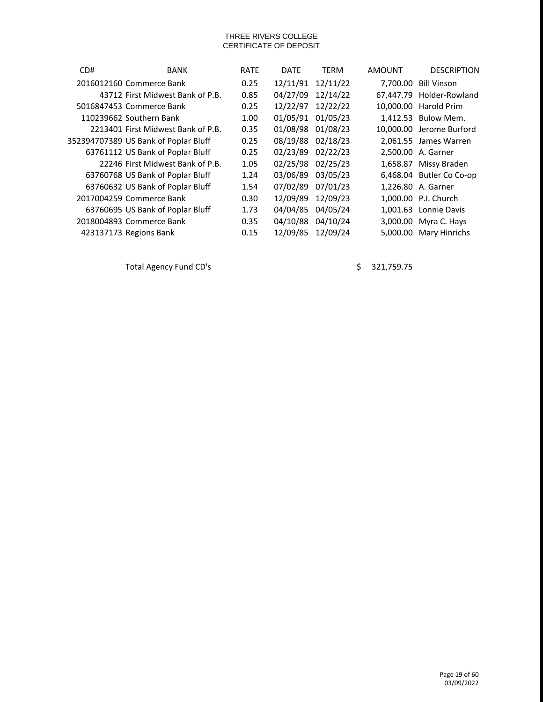#### THREE RIVERS COLLEGE CERTIFICATE OF DEPOSIT

| CD# | <b>BANK</b>                          | <b>RATE</b> | DATE     | TERM     | <b>AMOUNT</b> | <b>DESCRIPTION</b>       |
|-----|--------------------------------------|-------------|----------|----------|---------------|--------------------------|
|     | 2016012160 Commerce Bank             | 0.25        | 12/11/91 | 12/11/22 | 7.700.00      | <b>Bill Vinson</b>       |
|     | 43712 First Midwest Bank of P.B.     | 0.85        | 04/27/09 | 12/14/22 |               | 67.447.79 Holder-Rowland |
|     | 5016847453 Commerce Bank             | 0.25        | 12/22/97 | 12/22/22 |               | 10.000.00 Harold Prim    |
|     | 110239662 Southern Bank              | 1.00        | 01/05/91 | 01/05/23 |               | 1,412.53 Bulow Mem.      |
|     | 2213401 First Midwest Bank of P.B.   | 0.35        | 01/08/98 | 01/08/23 |               | 10.000.00 Jerome Burford |
|     | 352394707389 US Bank of Poplar Bluff | 0.25        | 08/19/88 | 02/18/23 |               | 2,061.55 James Warren    |
|     | 63761112 US Bank of Poplar Bluff     | 0.25        | 02/23/89 | 02/22/23 |               | 2.500.00 A. Garner       |
|     | 22246 First Midwest Bank of P.B.     | 1.05        | 02/25/98 | 02/25/23 |               | 1,658.87 Missy Braden    |
|     | 63760768 US Bank of Poplar Bluff     | 1.24        | 03/06/89 | 03/05/23 |               | 6,468.04 Butler Co Co-op |
|     | 63760632 US Bank of Poplar Bluff     | 1.54        | 07/02/89 | 07/01/23 |               | 1.226.80 A. Garner       |
|     | 2017004259 Commerce Bank             | 0.30        | 12/09/89 | 12/09/23 |               | 1,000.00 P.I. Church     |
|     | 63760695 US Bank of Poplar Bluff     | 1.73        | 04/04/85 | 04/05/24 | 1.001.63      | Lonnie Davis             |
|     | 2018004893 Commerce Bank             | 0.35        | 04/10/88 | 04/10/24 |               | 3,000.00 Myra C. Hays    |
|     | 423137173 Regions Bank               | 0.15        | 12/09/85 | 12/09/24 | 5.000.00      | <b>Mary Hinrichs</b>     |
|     |                                      |             |          |          |               |                          |

Total Agency Fund CD's and the state of the Sample State State State State State State State State State State S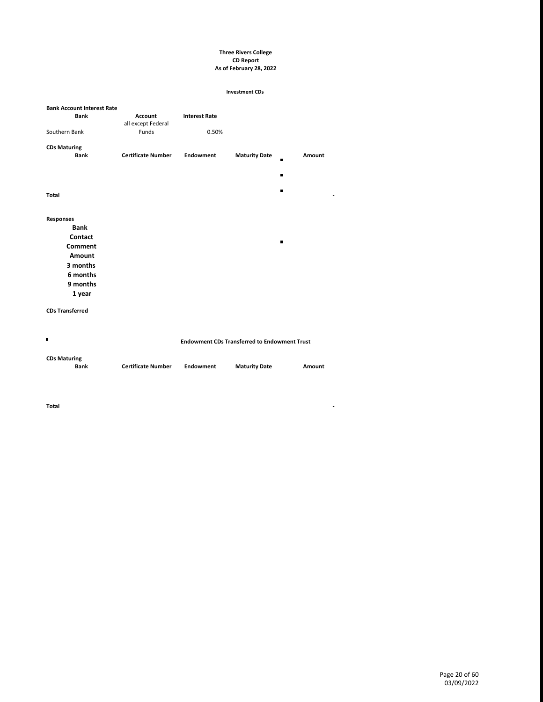#### **Three Rivers College CD Report As of February 28, 2022**

#### **Investment CDs**

| <b>Bank Account Interest Rate</b>  |                               |                                                     |                      |                          |
|------------------------------------|-------------------------------|-----------------------------------------------------|----------------------|--------------------------|
| <b>Bank</b>                        | Account<br>all except Federal | <b>Interest Rate</b>                                |                      |                          |
| Southern Bank                      | Funds                         | 0.50%                                               |                      |                          |
| <b>CDs Maturing</b>                |                               |                                                     |                      |                          |
| <b>Bank</b>                        | <b>Certificate Number</b>     | Endowment                                           | <b>Maturity Date</b> | Amount<br>$\blacksquare$ |
|                                    |                               |                                                     |                      | п                        |
| Total                              |                               |                                                     |                      | п                        |
| Responses                          |                               |                                                     |                      |                          |
| <b>Bank</b>                        |                               |                                                     |                      |                          |
| Contact                            |                               |                                                     |                      |                          |
| Comment                            |                               |                                                     |                      | $\blacksquare$           |
| Amount                             |                               |                                                     |                      |                          |
| 3 months                           |                               |                                                     |                      |                          |
| 6 months                           |                               |                                                     |                      |                          |
| 9 months                           |                               |                                                     |                      |                          |
| 1 year                             |                               |                                                     |                      |                          |
| <b>CDs Transferred</b>             |                               |                                                     |                      |                          |
| п                                  |                               | <b>Endowment CDs Transferred to Endowment Trust</b> |                      |                          |
|                                    |                               |                                                     |                      |                          |
| <b>CDs Maturing</b><br><b>Bank</b> | <b>Certificate Number</b>     | Endowment                                           | <b>Maturity Date</b> | Amount                   |
|                                    |                               |                                                     |                      |                          |
|                                    |                               |                                                     |                      |                          |

**Total -**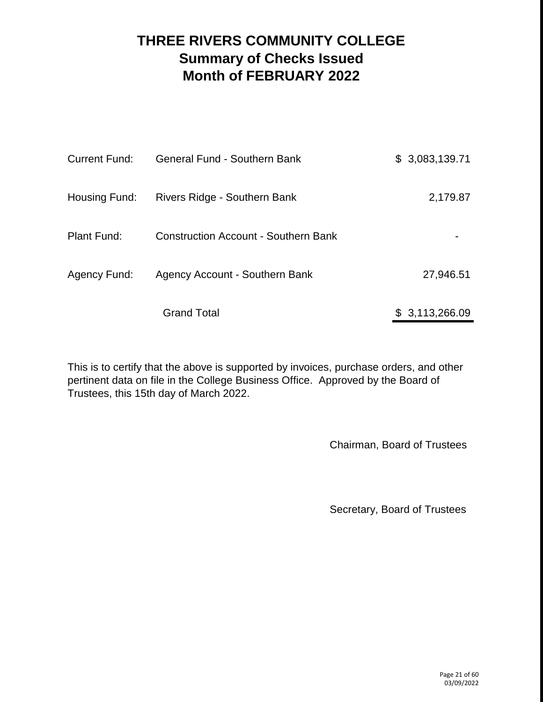# **THREE RIVERS COMMUNITY COLLEGE Summary of Checks Issued Month of FEBRUARY 2022**

| <b>Current Fund:</b> | <b>General Fund - Southern Bank</b>         | \$3,083,139.71 |
|----------------------|---------------------------------------------|----------------|
| Housing Fund:        | Rivers Ridge - Southern Bank                | 2,179.87       |
| Plant Fund:          | <b>Construction Account - Southern Bank</b> |                |
| Agency Fund:         | Agency Account - Southern Bank              | 27,946.51      |
|                      | <b>Grand Total</b>                          | \$3,113,266.09 |

This is to certify that the above is supported by invoices, purchase orders, and other pertinent data on file in the College Business Office. Approved by the Board of Trustees, this 15th day of March 2022.

Chairman, Board of Trustees

Secretary, Board of Trustees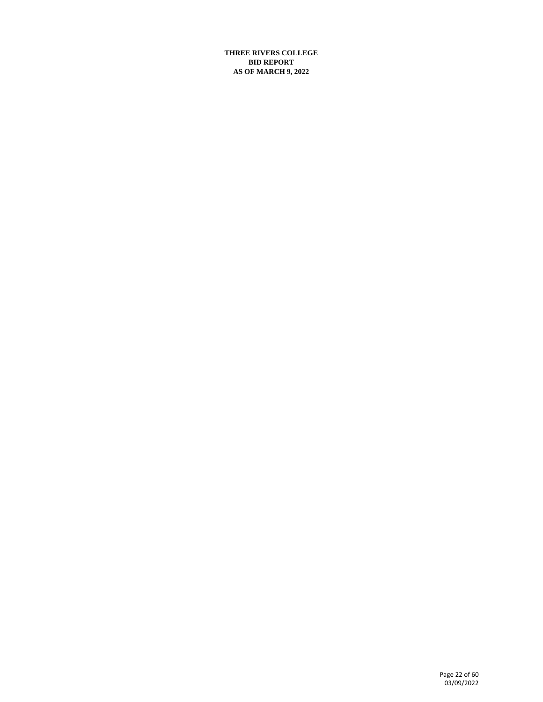**THREE RIVERS COLLEGE BID REPORT AS OF MARCH 9, 2022**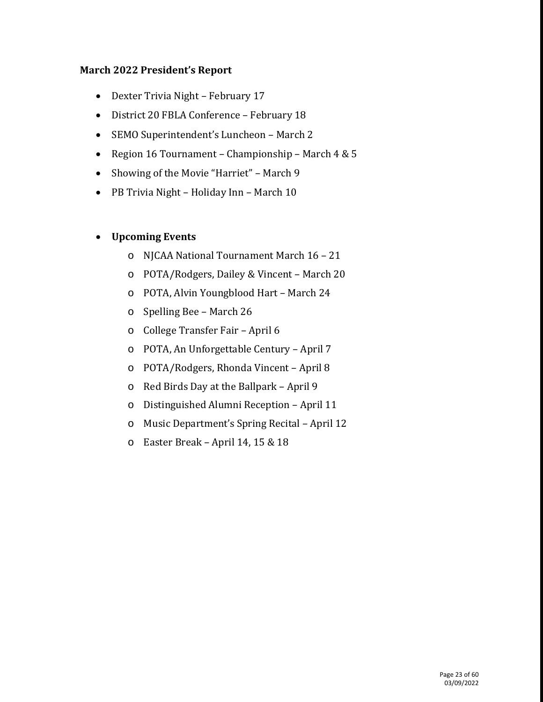#### **March 2022 President's Report**

- Dexter Trivia Night February 17
- District 20 FBLA Conference February 18
- SEMO Superintendent's Luncheon March 2
- Region 16 Tournament Championship March 4 & 5
- Showing of the Movie "Harriet" March 9
- PB Trivia Night Holiday Inn March 10

#### • **Upcoming Events**

- o NJCAA National Tournament March 16 21
- o POTA/Rodgers, Dailey & Vincent March 20
- o POTA, Alvin Youngblood Hart March 24
- o Spelling Bee March 26
- o College Transfer Fair April 6
- o POTA, An Unforgettable Century April 7
- o POTA/Rodgers, Rhonda Vincent April 8
- o Red Birds Day at the Ballpark April 9
- o Distinguished Alumni Reception April 11
- o Music Department's Spring Recital April 12
- o Easter Break April 14, 15 & 18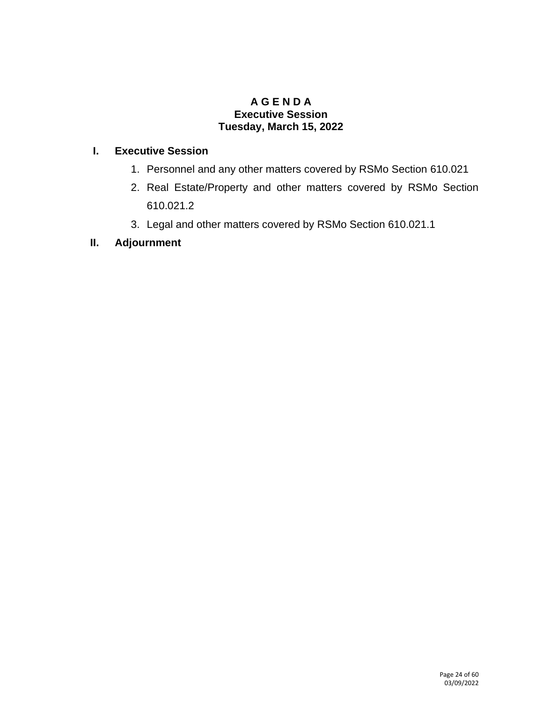#### **A G E N D A Executive Session Tuesday, March 15, 2022**

#### **I. Executive Session**

- 1. Personnel and any other matters covered by RSMo Section 610.021
- 2. Real Estate/Property and other matters covered by RSMo Section 610.021.2
- 3. Legal and other matters covered by RSMo Section 610.021.1

#### **II. Adjournment**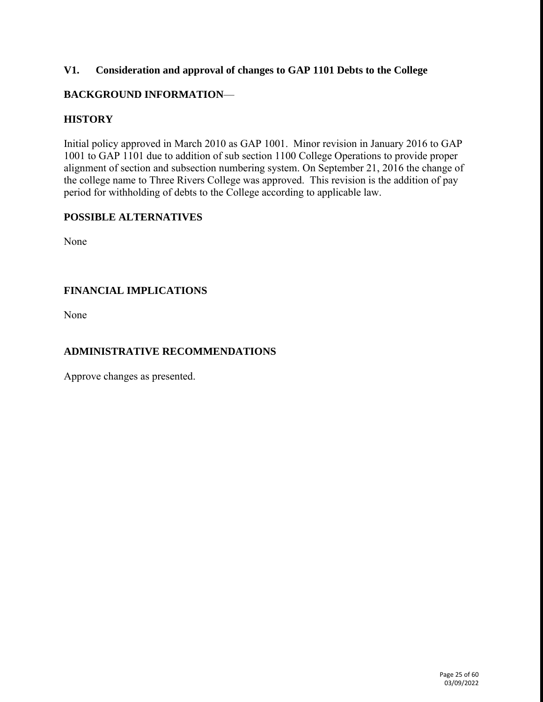#### **V1. Consideration and approval of changes to GAP 1101 Debts to the College**

#### **BACKGROUND INFORMATION**—

#### **HISTORY**

Initial policy approved in March 2010 as GAP 1001. Minor revision in January 2016 to GAP 1001 to GAP 1101 due to addition of sub section 1100 College Operations to provide proper alignment of section and subsection numbering system. On September 21, 2016 the change of the college name to Three Rivers College was approved. This revision is the addition of pay period for withholding of debts to the College according to applicable law.

#### **POSSIBLE ALTERNATIVES**

None

#### **FINANCIAL IMPLICATIONS**

None

#### **ADMINISTRATIVE RECOMMENDATIONS**

Approve changes as presented.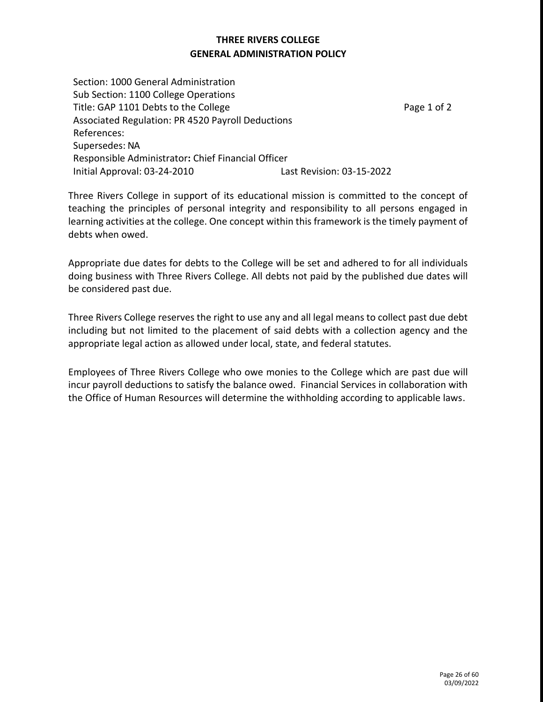#### **THREE RIVERS COLLEGE GENERAL ADMINISTRATION POLICY**

Section: 1000 General Administration Sub Section: 1100 College Operations Title: GAP 1101 Debts to the College Page 1 of 2 Associated Regulation: PR 4520 Payroll Deductions References: Supersedes: NA Responsible Administrator**:** Chief Financial Officer Initial Approval: 03-24-2010 Last Revision: 03-15-2022

Three Rivers College in support of its educational mission is committed to the concept of teaching the principles of personal integrity and responsibility to all persons engaged in learning activities at the college. One concept within this framework is the timely payment of debts when owed.

Appropriate due dates for debts to the College will be set and adhered to for all individuals doing business with Three Rivers College. All debts not paid by the published due dates will be considered past due.

Three Rivers College reserves the right to use any and all legal means to collect past due debt including but not limited to the placement of said debts with a collection agency and the appropriate legal action as allowed under local, state, and federal statutes.

Employees of Three Rivers College who owe monies to the College which are past due will incur payroll deductions to satisfy the balance owed. Financial Services in collaboration with the Office of Human Resources will determine the withholding according to applicable laws.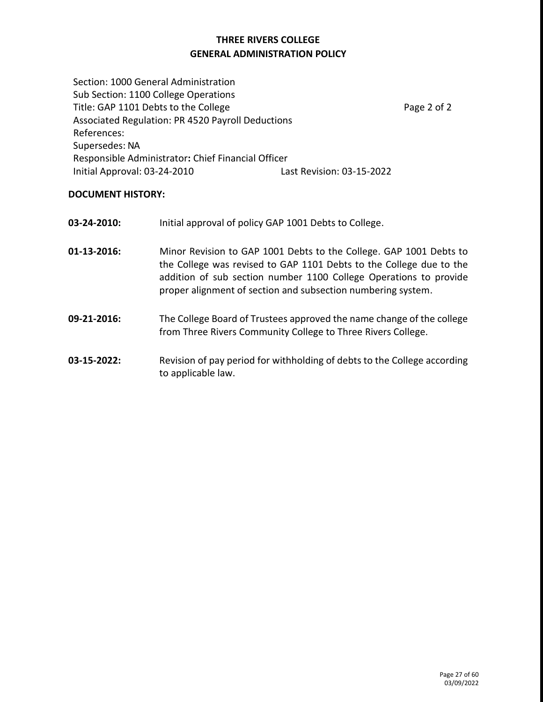#### **THREE RIVERS COLLEGE GENERAL ADMINISTRATION POLICY**

Section: 1000 General Administration Sub Section: 1100 College Operations Title: GAP 1101 Debts to the College **Page 2 of 2** Page 2 of 2 Associated Regulation: PR 4520 Payroll Deductions References: Supersedes: NA Responsible Administrator**:** Chief Financial Officer Initial Approval: 03-24-2010 Last Revision: 03-15-2022

#### **DOCUMENT HISTORY:**

| $03 - 24 - 2010$   | Initial approval of policy GAP 1001 Debts to College.                                                                                                                                                                                                                          |
|--------------------|--------------------------------------------------------------------------------------------------------------------------------------------------------------------------------------------------------------------------------------------------------------------------------|
| $01-13-2016$ :     | Minor Revision to GAP 1001 Debts to the College. GAP 1001 Debts to<br>the College was revised to GAP 1101 Debts to the College due to the<br>addition of sub section number 1100 College Operations to provide<br>proper alignment of section and subsection numbering system. |
| 09-21-2016:        | The College Board of Trustees approved the name change of the college<br>from Three Rivers Community College to Three Rivers College.                                                                                                                                          |
| $03 - 15 - 2022$ : | Revision of pay period for withholding of debts to the College according<br>to applicable law.                                                                                                                                                                                 |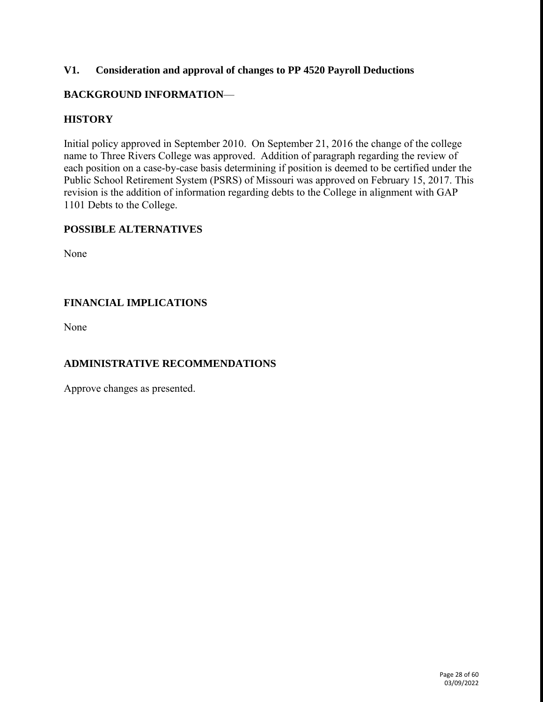#### **V1. Consideration and approval of changes to PP 4520 Payroll Deductions**

#### **BACKGROUND INFORMATION**—

#### **HISTORY**

Initial policy approved in September 2010. On September 21, 2016 the change of the college name to Three Rivers College was approved. Addition of paragraph regarding the review of each position on a case-by-case basis determining if position is deemed to be certified under the Public School Retirement System (PSRS) of Missouri was approved on February 15, 2017. This revision is the addition of information regarding debts to the College in alignment with GAP 1101 Debts to the College.

#### **POSSIBLE ALTERNATIVES**

None

#### **FINANCIAL IMPLICATIONS**

None

#### **ADMINISTRATIVE RECOMMENDATIONS**

Approve changes as presented.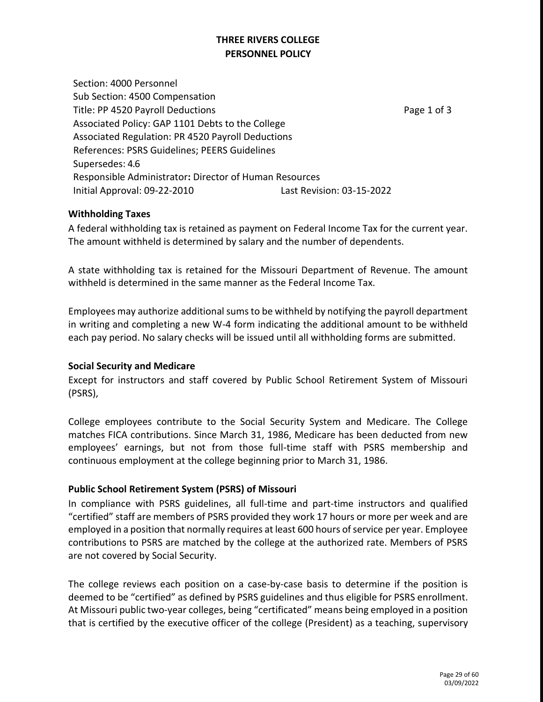#### **THREE RIVERS COLLEGE PERSONNEL POLICY**

Section: 4000 Personnel Sub Section: 4500 Compensation Title: PP 4520 Payroll Deductions **Page 1 of 3** Page 1 of 3 Associated Policy: GAP 1101 Debts to the College Associated Regulation: PR 4520 Payroll Deductions References: PSRS Guidelines; PEERS Guidelines Supersedes: 4.6 Responsible Administrator**:** Director of Human Resources Initial Approval: 09-22-2010 Last Revision: 03-15-2022

#### **Withholding Taxes**

A federal withholding tax is retained as payment on Federal Income Tax for the current year. The amount withheld is determined by salary and the number of dependents.

A state withholding tax is retained for the Missouri Department of Revenue. The amount withheld is determined in the same manner as the Federal Income Tax.

Employees may authorize additional sums to be withheld by notifying the payroll department in writing and completing a new W-4 form indicating the additional amount to be withheld each pay period. No salary checks will be issued until all withholding forms are submitted.

#### **Social Security and Medicare**

Except for instructors and staff covered by Public School Retirement System of Missouri (PSRS),

College employees contribute to the Social Security System and Medicare. The College matches FICA contributions. Since March 31, 1986, Medicare has been deducted from new employees' earnings, but not from those full-time staff with PSRS membership and continuous employment at the college beginning prior to March 31, 1986.

#### **Public School Retirement System (PSRS) of Missouri**

In compliance with PSRS guidelines, all full-time and part-time instructors and qualified "certified" staff are members of PSRS provided they work 17 hours or more per week and are employed in a position that normally requires at least 600 hours of service per year. Employee contributions to PSRS are matched by the college at the authorized rate. Members of PSRS are not covered by Social Security.

The college reviews each position on a case-by-case basis to determine if the position is deemed to be "certified" as defined by PSRS guidelines and thus eligible for PSRS enrollment. At Missouri public two-year colleges, being "certificated" means being employed in a position that is certified by the executive officer of the college (President) as a teaching, supervisory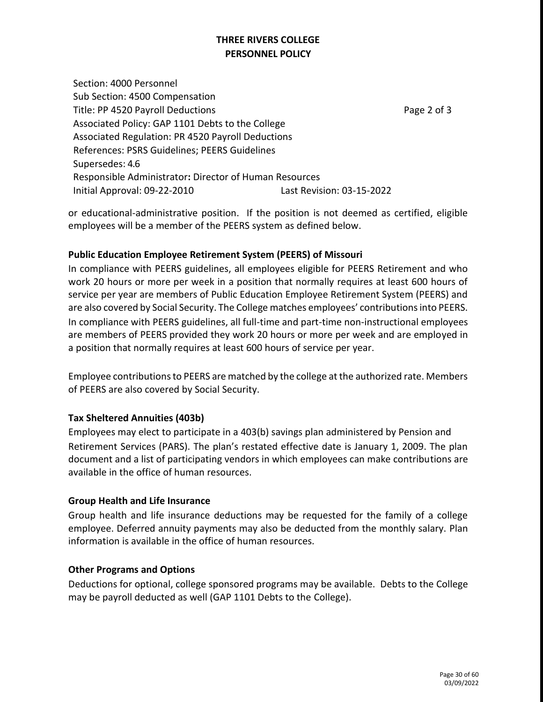#### **THREE RIVERS COLLEGE PERSONNEL POLICY**

Section: 4000 Personnel Sub Section: 4500 Compensation Title: PP 4520 Payroll Deductions **Page 2 of 3** and 2 of 3 Associated Policy: GAP 1101 Debts to the College Associated Regulation: PR 4520 Payroll Deductions References: PSRS Guidelines; PEERS Guidelines Supersedes: 4.6 Responsible Administrator**:** Director of Human Resources Initial Approval: 09-22-2010 Last Revision: 03-15-2022

or educational-administrative position. If the position is not deemed as certified, eligible employees will be a member of the PEERS system as defined below.

#### **Public Education Employee Retirement System (PEERS) of Missouri**

In compliance with PEERS guidelines, all employees eligible for PEERS Retirement and who work 20 hours or more per week in a position that normally requires at least 600 hours of service per year are members of Public Education Employee Retirement System (PEERS) and are also covered by Social Security. The College matches employees' contributions into PEERS. In compliance with PEERS guidelines, all full-time and part-time non-instructional employees are members of PEERS provided they work 20 hours or more per week and are employed in a position that normally requires at least 600 hours of service per year.

Employee contributions to PEERS are matched by the college at the authorized rate. Members of PEERS are also covered by Social Security.

#### **Tax Sheltered Annuities (403b)**

Employees may elect to participate in a 403(b) savings plan administered by Pension and Retirement Services (PARS). The plan's restated effective date is January 1, 2009. The plan document and a list of participating vendors in which employees can make contributions are available in the office of human resources.

#### **Group Health and Life Insurance**

Group health and life insurance deductions may be requested for the family of a college employee. Deferred annuity payments may also be deducted from the monthly salary. Plan information is available in the office of human resources.

#### **Other Programs and Options**

Deductions for optional, college sponsored programs may be available. Debts to the College may be payroll deducted as well (GAP 1101 Debts to the College).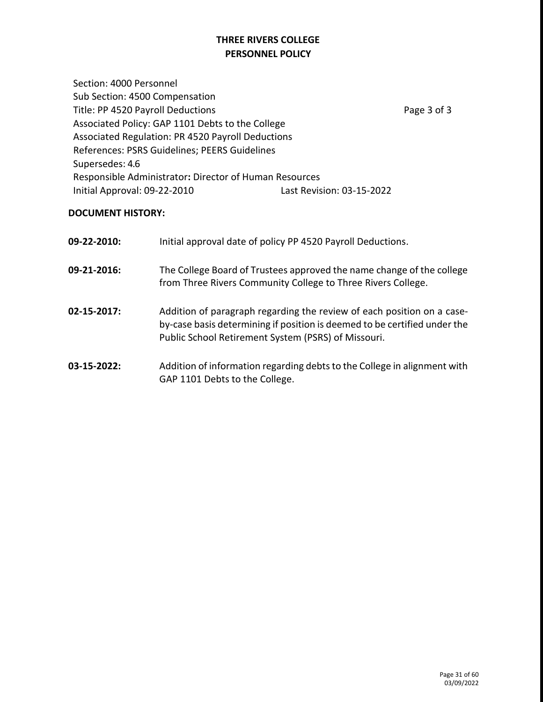#### **THREE RIVERS COLLEGE PERSONNEL POLICY**

Section: 4000 Personnel Sub Section: 4500 Compensation Title: PP 4520 Payroll Deductions **Page 3 of 3** Associated Policy: GAP 1101 Debts to the College Associated Regulation: PR 4520 Payroll Deductions References: PSRS Guidelines; PEERS Guidelines Supersedes: 4.6 Responsible Administrator**:** Director of Human Resources Initial Approval: 09-22-2010 Last Revision: 03-15-2022

#### **DOCUMENT HISTORY:**

| 09-22-2010:        | Initial approval date of policy PP 4520 Payroll Deductions.                                                                                                                                                |
|--------------------|------------------------------------------------------------------------------------------------------------------------------------------------------------------------------------------------------------|
| 09-21-2016:        | The College Board of Trustees approved the name change of the college<br>from Three Rivers Community College to Three Rivers College.                                                                      |
| $02 - 15 - 2017$ : | Addition of paragraph regarding the review of each position on a case-<br>by-case basis determining if position is deemed to be certified under the<br>Public School Retirement System (PSRS) of Missouri. |
| $03 - 15 - 2022$ : | Addition of information regarding debts to the College in alignment with<br>GAP 1101 Debts to the College.                                                                                                 |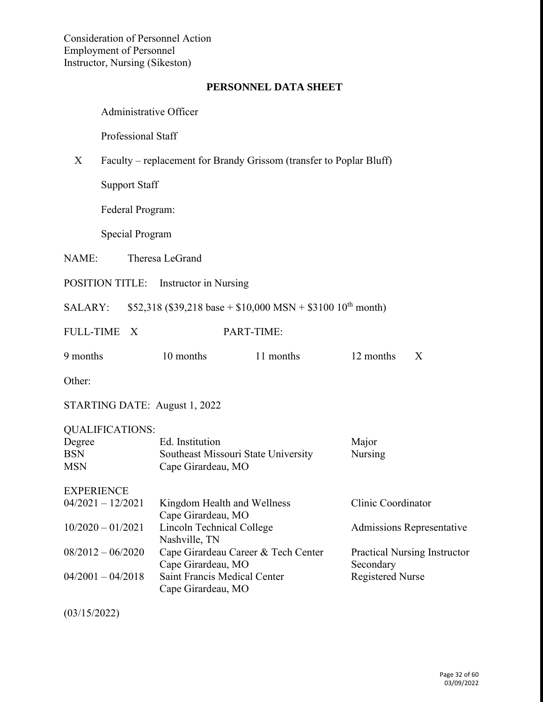#### **PERSONNEL DATA SHEET**

Professional Staff

X Faculty – replacement for Brandy Grissom (transfer to Poplar Bluff)

Support Staff

Federal Program:

Special Program

NAME: Theresa LeGrand

POSITION TITLE: Instructor in Nursing

SALARY:  $$52,318 ($39,218 \text{ base} + $10,000 \text{ MSN} + $3100 10^{\text{th}} \text{ month})$ 

FULL-TIME X PART-TIME:

| 9 months | 10 months | 11 months | 12 months |  |
|----------|-----------|-----------|-----------|--|
|----------|-----------|-----------|-----------|--|

Other:

STARTING DATE: August 1, 2022

#### QUALIFICATIONS:

| Degree              | Ed. Institution                     | Major                               |
|---------------------|-------------------------------------|-------------------------------------|
| <b>BSN</b>          | Southeast Missouri State University | Nursing                             |
| <b>MSN</b>          | Cape Girardeau, MO                  |                                     |
| <b>EXPERIENCE</b>   |                                     |                                     |
| $04/2021 - 12/2021$ | Kingdom Health and Wellness         | Clinic Coordinator                  |
|                     | Cape Girardeau, MO                  |                                     |
| $10/2020 - 01/2021$ | Lincoln Technical College           | Admissions Representative           |
|                     | Nashville, TN                       |                                     |
| $08/2012 - 06/2020$ | Cape Girardeau Career & Tech Center | <b>Practical Nursing Instructor</b> |
|                     | Cape Girardeau, MO                  | Secondary                           |
| $04/2001 - 04/2018$ | Saint Francis Medical Center        | <b>Registered Nurse</b>             |
|                     | Cape Girardeau, MO                  |                                     |

(03/15/2022)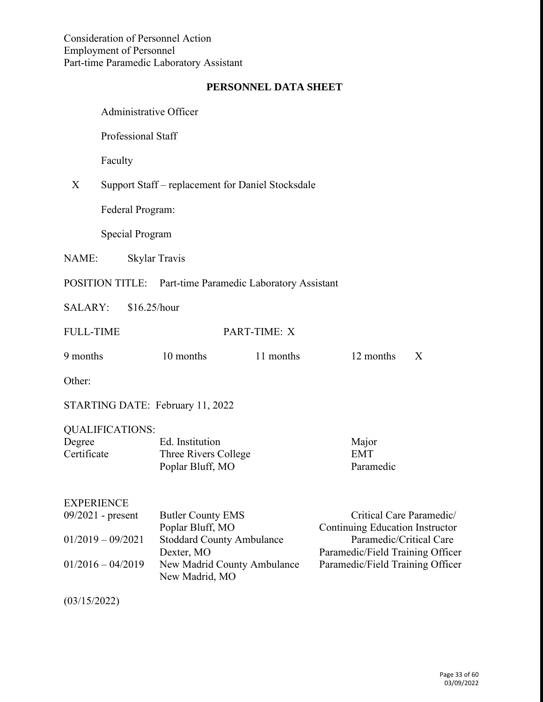#### **PERSONNEL DATA SHEET**

|                  | Administrative Officer |                                                          |                     |                                                            |   |
|------------------|------------------------|----------------------------------------------------------|---------------------|------------------------------------------------------------|---|
|                  | Professional Staff     |                                                          |                     |                                                            |   |
|                  | Faculty                |                                                          |                     |                                                            |   |
| X                |                        | Support Staff – replacement for Daniel Stocksdale        |                     |                                                            |   |
|                  | Federal Program:       |                                                          |                     |                                                            |   |
|                  | Special Program        |                                                          |                     |                                                            |   |
| NAME:            |                        | Skylar Travis                                            |                     |                                                            |   |
|                  |                        | POSITION TITLE: Part-time Paramedic Laboratory Assistant |                     |                                                            |   |
| SALARY:          | \$16.25/hour           |                                                          |                     |                                                            |   |
| <b>FULL-TIME</b> |                        |                                                          | <b>PART-TIME: X</b> |                                                            |   |
| 9 months         |                        | 10 months                                                | 11 months           | 12 months                                                  | X |
| Other:           |                        |                                                          |                     |                                                            |   |
|                  |                        | STARTING DATE: February 11, 2022                         |                     |                                                            |   |
|                  |                        |                                                          |                     |                                                            |   |
| Degree           | <b>QUALIFICATIONS:</b> | Ed. Institution                                          |                     | Major                                                      |   |
| Certificate      |                        | Three Rivers College                                     |                     | <b>EMT</b>                                                 |   |
|                  |                        | Poplar Bluff, MO                                         |                     | Paramedic                                                  |   |
|                  | <b>EXPERIENCE</b>      |                                                          |                     |                                                            |   |
|                  | $09/2021$ - present    | <b>Butler County EMS</b>                                 |                     | Critical Care Paramedic/                                   |   |
|                  | $01/2019 - 09/2021$    | Poplar Bluff, MO<br><b>Stoddard County Ambulance</b>     |                     | Continuing Education Instructor<br>Paramedic/Critical Care |   |
|                  |                        | Dexter, MO                                               |                     | Paramedic/Field Training Officer                           |   |
|                  | $01/2016 - 04/2019$    | New Madrid County Ambulance<br>New Madrid, MO            |                     | Paramedic/Field Training Officer                           |   |

(03/15/2022)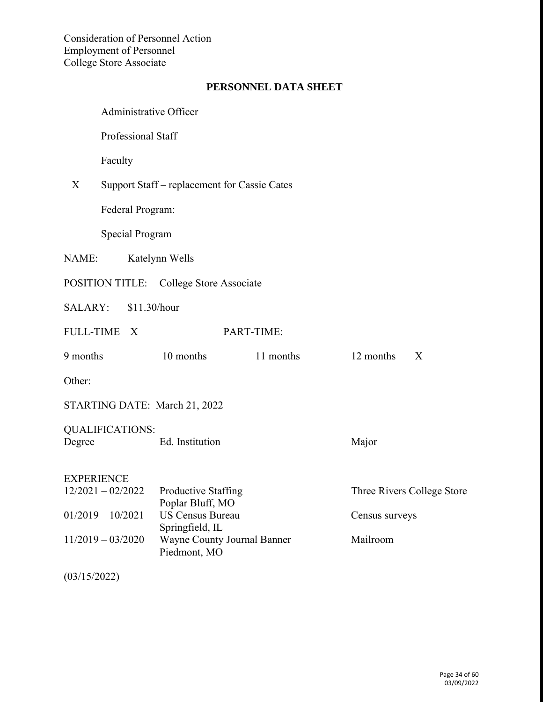Consideration of Personnel Action Employment of Personnel College Store Associate

#### **PERSONNEL DATA SHEET**

|                   | Administrative Officer                     |                                                                                           |            |                            |
|-------------------|--------------------------------------------|-------------------------------------------------------------------------------------------|------------|----------------------------|
|                   | Professional Staff                         |                                                                                           |            |                            |
|                   | Faculty                                    |                                                                                           |            |                            |
| X                 |                                            | Support Staff – replacement for Cassie Cates                                              |            |                            |
|                   | Federal Program:                           |                                                                                           |            |                            |
|                   | Special Program                            |                                                                                           |            |                            |
| NAME:             |                                            | Katelynn Wells                                                                            |            |                            |
|                   |                                            | POSITION TITLE: College Store Associate                                                   |            |                            |
| <b>SALARY:</b>    | \$11.30/hour                               |                                                                                           |            |                            |
| <b>FULL-TIME</b>  | $\boldsymbol{X}$                           |                                                                                           | PART-TIME: |                            |
| 9 months          |                                            | 10 months                                                                                 | 11 months  | 12 months<br>X             |
| Other:            |                                            |                                                                                           |            |                            |
|                   |                                            | STARTING DATE: March 21, 2022                                                             |            |                            |
| Degree            | <b>QUALIFICATIONS:</b>                     | Ed. Institution                                                                           |            | Major                      |
| <b>EXPERIENCE</b> | $12/2021 - 02/2022$                        | Productive Staffing<br>Poplar Bluff, MO                                                   |            | Three Rivers College Store |
|                   | $01/2019 - 10/2021$<br>$11/2019 - 03/2020$ | <b>US Census Bureau</b><br>Springfield, IL<br>Wayne County Journal Banner<br>Piedmont, MO |            | Census surveys<br>Mailroom |

(03/15/2022)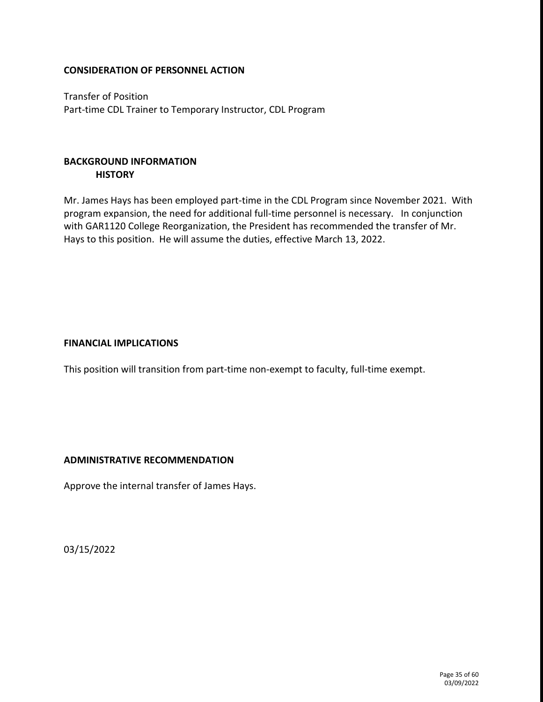Transfer of Position Part-time CDL Trainer to Temporary Instructor, CDL Program

#### **BACKGROUND INFORMATION HISTORY**

Mr. James Hays has been employed part-time in the CDL Program since November 2021. With program expansion, the need for additional full-time personnel is necessary. In conjunction with GAR1120 College Reorganization, the President has recommended the transfer of Mr. Hays to this position. He will assume the duties, effective March 13, 2022.

#### **FINANCIAL IMPLICATIONS**

This position will transition from part-time non-exempt to faculty, full-time exempt.

#### **ADMINISTRATIVE RECOMMENDATION**

Approve the internal transfer of James Hays.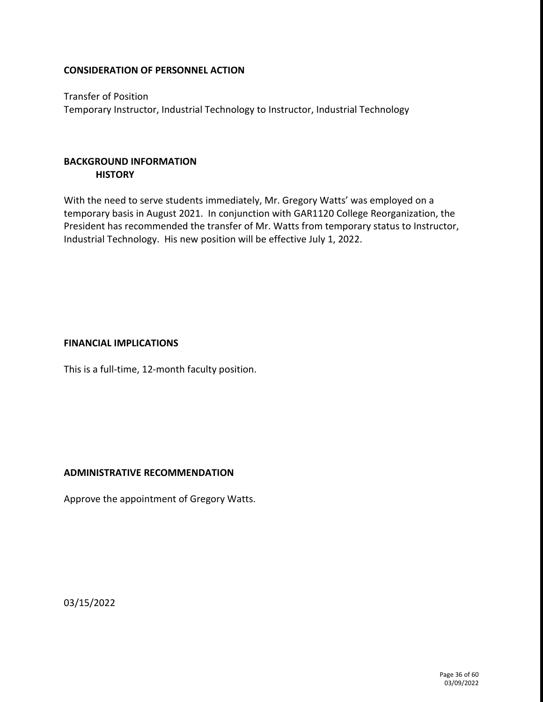Transfer of Position Temporary Instructor, Industrial Technology to Instructor, Industrial Technology

#### **BACKGROUND INFORMATION HISTORY**

With the need to serve students immediately, Mr. Gregory Watts' was employed on a temporary basis in August 2021. In conjunction with GAR1120 College Reorganization, the President has recommended the transfer of Mr. Watts from temporary status to Instructor, Industrial Technology. His new position will be effective July 1, 2022.

#### **FINANCIAL IMPLICATIONS**

This is a full-time, 12-month faculty position.

#### **ADMINISTRATIVE RECOMMENDATION**

Approve the appointment of Gregory Watts.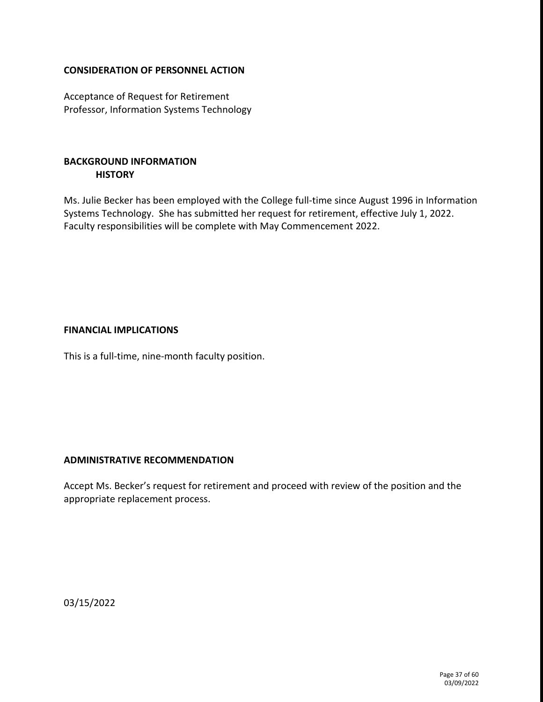Acceptance of Request for Retirement Professor, Information Systems Technology

#### **BACKGROUND INFORMATION HISTORY**

Ms. Julie Becker has been employed with the College full-time since August 1996 in Information Systems Technology. She has submitted her request for retirement, effective July 1, 2022. Faculty responsibilities will be complete with May Commencement 2022.

#### **FINANCIAL IMPLICATIONS**

This is a full-time, nine-month faculty position.

#### **ADMINISTRATIVE RECOMMENDATION**

Accept Ms. Becker's request for retirement and proceed with review of the position and the appropriate replacement process.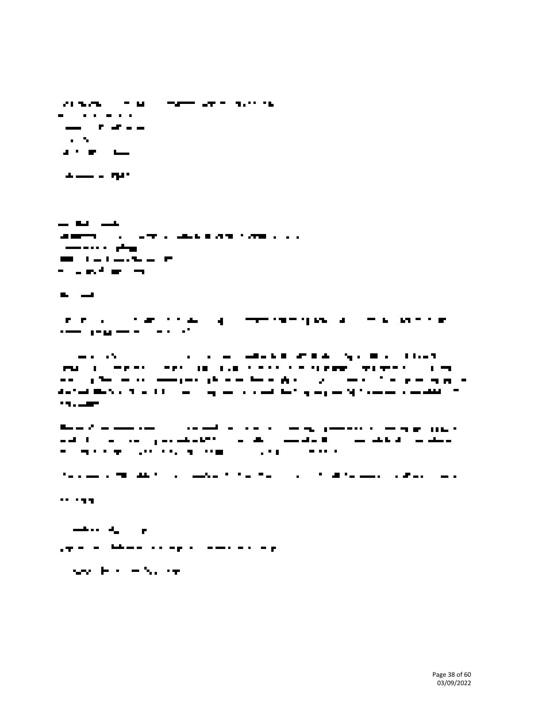$1.1 \times 10^{-11}$  . later blow  $1.1 \times 10^{-11}$  is, if,  $1.1 \times 10^{-11}$ G~'.!. c,:..,-.,'t 11,u:5 .t! H  $\mathbf{P}$  and  $\mathbf{P}$  as a set  $\mathbf{r}$  $J \cdot \cdot \cdot \cdot$  .  $\Delta$  -mass of  $\sim 10^{10}$ 

 $\blacksquare$ i:i.ti>,11,'l,.,....n • C "'". ~ ¥l"t"" 'i!,...ja I. 'I\,.-,.. l I.,...~ ~.-., l"lv,r,, **R** ,W.-S ,[ D~ .2'11!(] 11' *t H* ii: r.11:' I l **k,** ~"'if'\J .an".' *r.,..,..,,* Ill.II'. l\40 r.J!KI L

D.rr . ....,.

• - "Ill' I rr1 !'O *r.o,, ....* .,:IL' r.l my '-'l)(O"Th .... ,.,,~\_, ~,.,. .. , ra: ,~-tr I ii•"i"i' ,...!' l..ol! *a..,.* H "1'.rlf'I:' Fl.-... (0 lor;>Jc .... 1 II" l11r« ,0 .-.JiJ

 $\mathcal{I}=\mathcal{I}=\mathcal{I}=\mathcal{I}=\mathcal{I}=\mathcal{I}=\mathcal{I}=\mathcal{I}=\mathcal{I}=\mathcal{I}=\mathcal{I}=\mathcal{I}=\mathcal{I}=\mathcal{I}=\mathcal{I}=\mathcal{I}=\mathcal{I}=\mathcal{I}=\mathcal{I}=\mathcal{I}=\mathcal{I}=\mathcal{I}=\mathcal{I}=\mathcal{I}=\mathcal{I}=\mathcal{I}=\mathcal{I}=\mathcal{I}=\mathcal{I}=\mathcal{I}=\mathcal{I}=\mathcal{I}=\mathcal{I}=\mathcal{I}=\mathcal{I}=\mathcal{I}=\mathcal{$ UPµ.11~~-.P ~PHrSJ" 1.u: i& yHI,. 1 !,i,,lw'n,:-.:l 4 ,,,..,i cit-"'' t,alf' my ca.i..11;;~~ 1 *'10* lJ~r,.s-,,r, ~·n:t 11'11 'fNI'~ ~.-.:" JIN( r"l.l1 ~'ry ~~;Kllir,1 u:,I :1-,1,!lv~nt:t:::1 (~:j<:,r;i(l.,i .:,~"•'~ 1'1\1· ~•- H 1-..f ,..,..1,.,.\_ JQr tl '1¥11!11.h ti~.....\_.\_ 'l't'-1'1- ,1,1,::lfp,,,c,r !'r I i "l.lir 1 :i,:;, .,,,\_.. t. ~n~ ctuh,;i .llr~ IC< **"ti** m'I' 11u:J~n! -11\H'd .r P~,n  $f^{\prime\prime}$  .

PIN1"' ~ *mi:* ln::.,,w ~-• , .. ~ .~:11~1 w~II : he ''"""'•()(' r,, i.,.,.-"' r.1y ,,.,r,rr,r.1 I 'l'HJ,,ld l,,c, t 11:,::r, r-o:, IWl~ ,n ho<•"! ilt lf,lnr:,-.i my ,,i;.1-1c11mPn~ I ...,J •Is() 1::t .......,L~, l'o o:, 1[,-.u~ **:nill,'111:** j~ tn i.:,:,--.:cr •11:.l'L-CC-N 11'1 ! Jw 1,Sf ~n;l.<i)I ~y~u ... j:I, l! .. i>,11":-"11 WW-,1 ""'!' •~[d~(l'll:r''

**Service Construction**  $\blacksquare$  $\Delta$  ,  $\Delta$  ,  $\Delta$  $\blacksquare$ ala a  $\blacksquare$  $\blacksquare$ - −  $\blacksquare$ - -. . . . <u>.</u>  $\overline{\phantom{0}}$  $\blacksquare$ m.

 $\begin{array}{c} \bullet\bullet\hspace{0.08in}\bullet\hspace{0.08in}\bullet\hspace{0.08in}\bullet\hspace{0.08in}\bullet \end{array}$ 

 $\mathbf{A}_{\mathbf{a}}$ الرابع والمسور  $\blacksquare$  $\mathbf{r} \cdot \mathbf{r} = \mathbf{r} \cdot \mathbf{r}$ <u>hak as a</u>  $\mathbf{r}$  ,  $\mathbf{r}$  $\blacksquare$ T.

シャート・コード・マー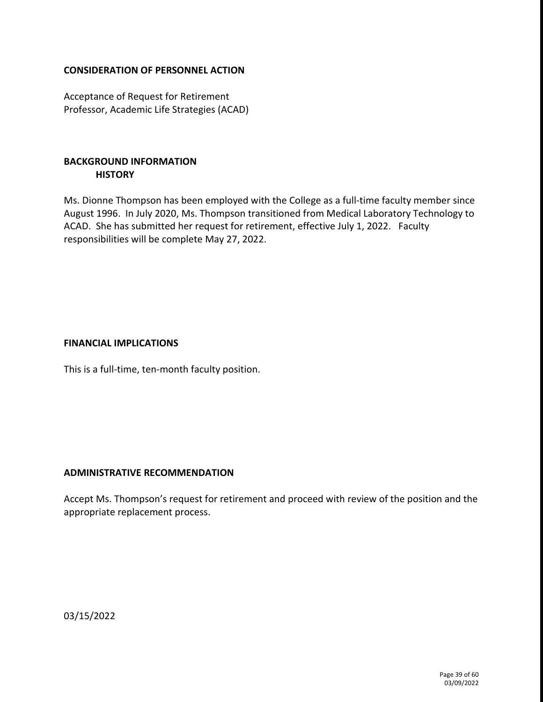Acceptance of Request for Retirement Professor, Academic Life Strategies (ACAD)

#### **BACKGROUND INFORMATION HISTORY**

Ms. Dionne Thompson has been employed with the College as a full-time faculty member since August 1996. In July 2020, Ms. Thompson transitioned from Medical Laboratory Technology to ACAD. She has submitted her request for retirement, effective July 1, 2022. Faculty responsibilities will be complete May 27, 2022.

#### **FINANCIAL IMPLICATIONS**

This is a full-time, ten-month faculty position.

#### **ADMINISTRATIVE RECOMMENDATION**

Accept Ms. Thompson's request for retirement and proceed with review of the position and the appropriate replacement process.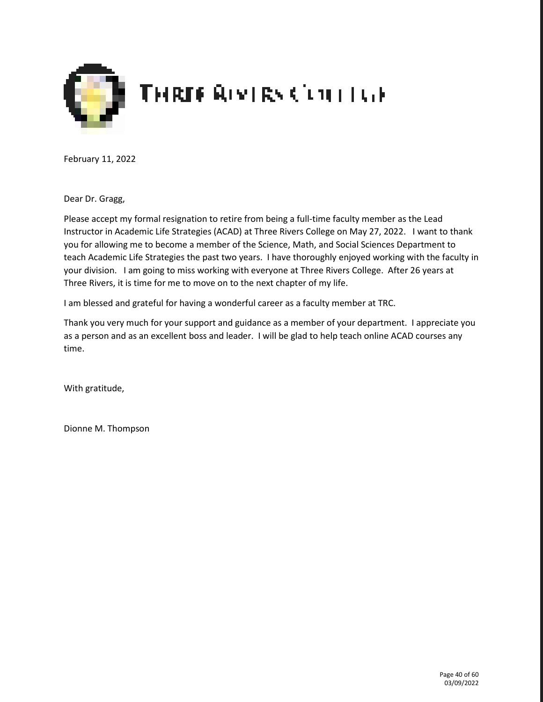

February 11, 2022

Dear Dr. Gragg,

Please accept my formal resignation to retire from being a full-time faculty member as the Lead Instructor in Academic Life Strategies (ACAD) at Three Rivers College on May 27, 2022. I want to thank you for allowing me to become a member of the Science, Math, and Social Sciences Department to teach Academic Life Strategies the past two years. I have thoroughly enjoyed working with the faculty in your division. I am going to miss working with everyone at Three Rivers College. After 26 years at Three Rivers, it is time for me to move on to the next chapter of my life.

I am blessed and grateful for having a wonderful career as a faculty member at TRC.

Thank you very much for your support and guidance as a member of your department. I appreciate you as a person and as an excellent boss and leader. I will be glad to help teach online ACAD courses any time.

With gratitude,

Dionne M. Thompson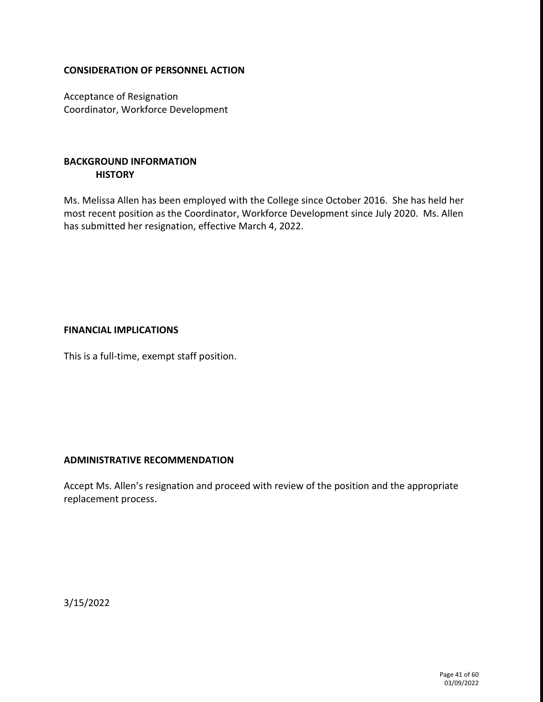Acceptance of Resignation Coordinator, Workforce Development

#### **BACKGROUND INFORMATION HISTORY**

Ms. Melissa Allen has been employed with the College since October 2016. She has held her most recent position as the Coordinator, Workforce Development since July 2020. Ms. Allen has submitted her resignation, effective March 4, 2022.

#### **FINANCIAL IMPLICATIONS**

This is a full-time, exempt staff position.

#### **ADMINISTRATIVE RECOMMENDATION**

Accept Ms. Allen's resignation and proceed with review of the position and the appropriate replacement process.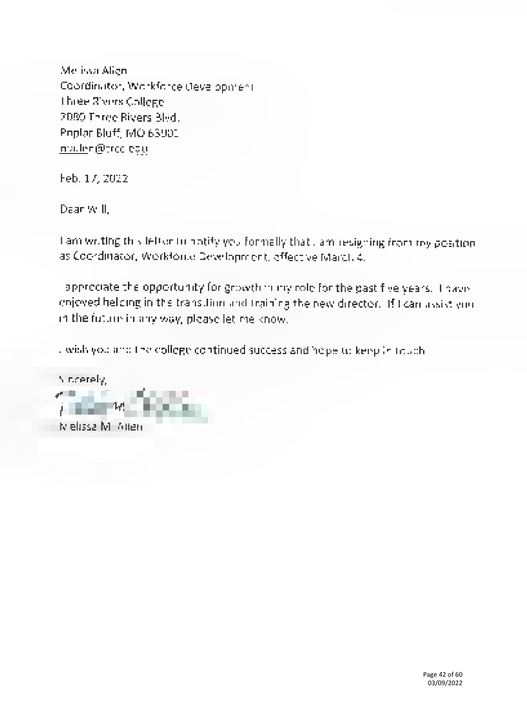.<br>Meliosi Alieni Coordinator, Workforce Cleve opment I hiee Rivers College. 2090 Three Bivers Blod... Pnplar:Bluff. MO 63901 nia.her@trcc egu-

Feb. 17, 2022

Daar Will.

I am wr.tlng this left on tu-hotify you formally that . am resigning from my position -35: Coordinator, Workforde Development, effective March 4.

approciate the opportunity for growth in my role-for the past five years. I have (injoyed helicing in the transition and Iraining the new director: If I can assist you 11 the future in any way, please let me know.

, wish you and the college continued success and hope to keep in touch.

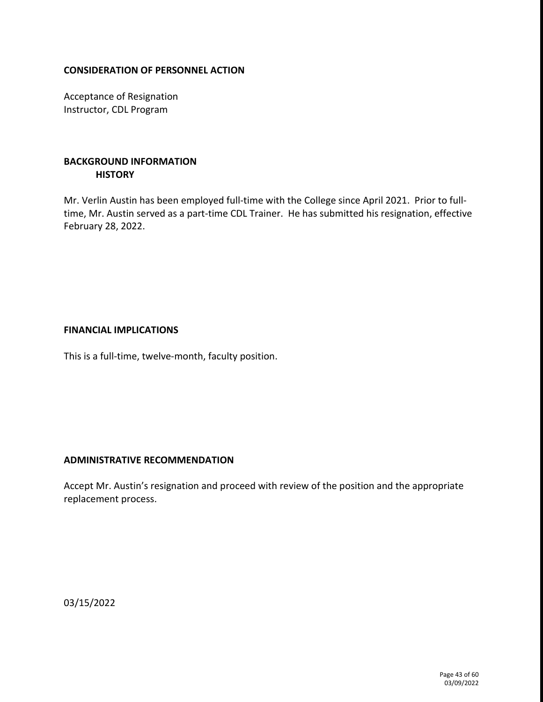Acceptance of Resignation Instructor, CDL Program

#### **BACKGROUND INFORMATION HISTORY**

Mr. Verlin Austin has been employed full-time with the College since April 2021. Prior to fulltime, Mr. Austin served as a part-time CDL Trainer. He has submitted his resignation, effective February 28, 2022.

#### **FINANCIAL IMPLICATIONS**

This is a full-time, twelve-month, faculty position.

#### **ADMINISTRATIVE RECOMMENDATION**

Accept Mr. Austin's resignation and proceed with review of the position and the appropriate replacement process.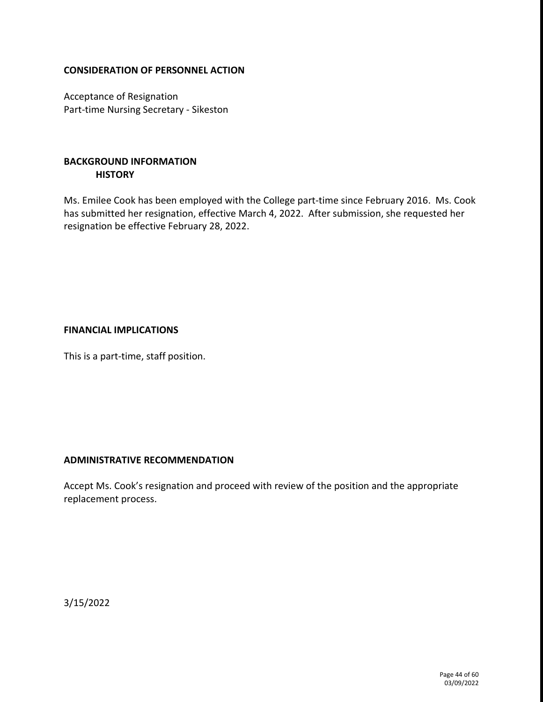Acceptance of Resignation Part-time Nursing Secretary - Sikeston

#### **BACKGROUND INFORMATION HISTORY**

Ms. Emilee Cook has been employed with the College part-time since February 2016. Ms. Cook has submitted her resignation, effective March 4, 2022. After submission, she requested her resignation be effective February 28, 2022.

#### **FINANCIAL IMPLICATIONS**

This is a part-time, staff position.

#### **ADMINISTRATIVE RECOMMENDATION**

Accept Ms. Cook's resignation and proceed with review of the position and the appropriate replacement process.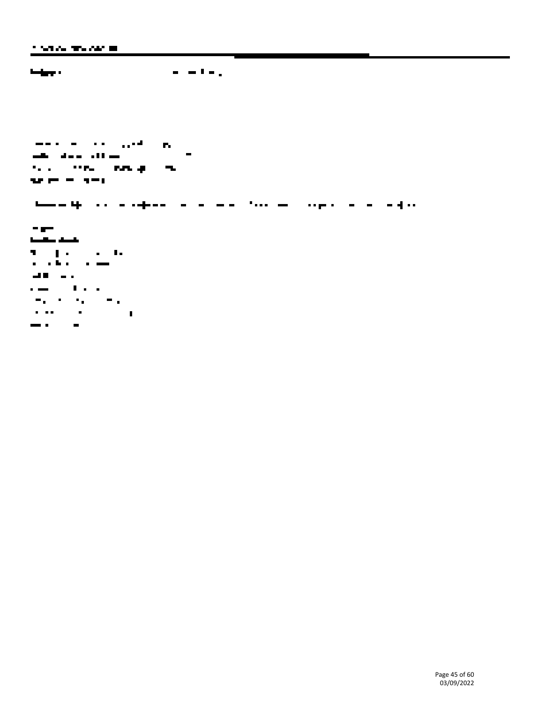```
<u>~~~~~~~~~</u><br>****
                                                                               \frac{1}{2} \left( \frac{1}{2} \right) \left( \frac{1}{2} \right) \left( \frac{1}{2} \right) \left( \frac{1}{2} \right)s:il'lil;,r 111 .... i.i,.. r 1 ••" "'t~lr'lr1i.~1t, .. ta.:Y • 
                 !oMI! I A1.:.!h, !f,!!<'Wliy j~. ,'I:;} J ( V 11<1, 
 T_{\rm eff} , T_{\rm eff} , T_{\rm eff} , T_{\rm eff} , T_{\rm eff} , T_{\rm eff}.... ,.ff'!, !-.I ·: lit bw 
                                                                                                                           \mathbf{r}_{\mathrm{max}}\blacksquare- - 4-1\mathbf{r} .
                                                        \sim where \simin prin
                                                 \blacksquare\blacksquare\blacksquare- -
                                                                                                                                                                                  \blacksquare\blacksquare\blacksquare11·.r,J, \VL' 
Emilil-• ,C.,al 
 NJl"!-,,f':IJ ':,,Pt ·.-t-1')' \"t-.·11, 
 lt <'n:- fl•-'!!•• ic I +t" 
 jJ(:(l '!j M.(llr 
~·•""'i-;.-. ·,'K} I: ~111'1: 
   Lm,11. p!,(0(:11 f:a.Jr-r .-.r':.!J 
  1-:--.:it't ; l ~ ,:_~ ~ ,r:,Jn I '\4:t:'J 
............ 1-1.i:: .~J
```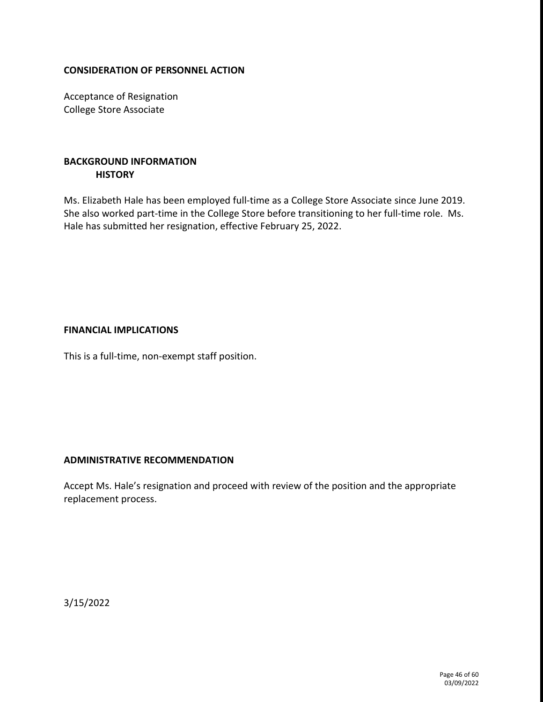Acceptance of Resignation College Store Associate

#### **BACKGROUND INFORMATION HISTORY**

Ms. Elizabeth Hale has been employed full-time as a College Store Associate since June 2019. She also worked part-time in the College Store before transitioning to her full-time role. Ms. Hale has submitted her resignation, effective February 25, 2022.

#### **FINANCIAL IMPLICATIONS**

This is a full-time, non-exempt staff position.

#### **ADMINISTRATIVE RECOMMENDATION**

Accept Ms. Hale's resignation and proceed with review of the position and the appropriate replacement process.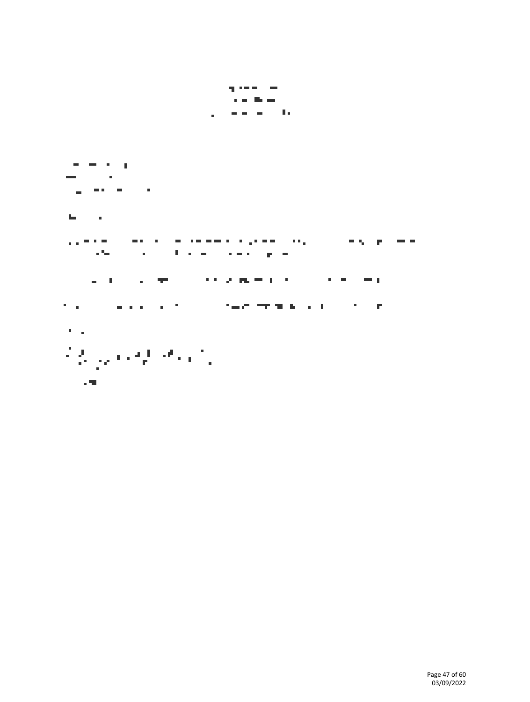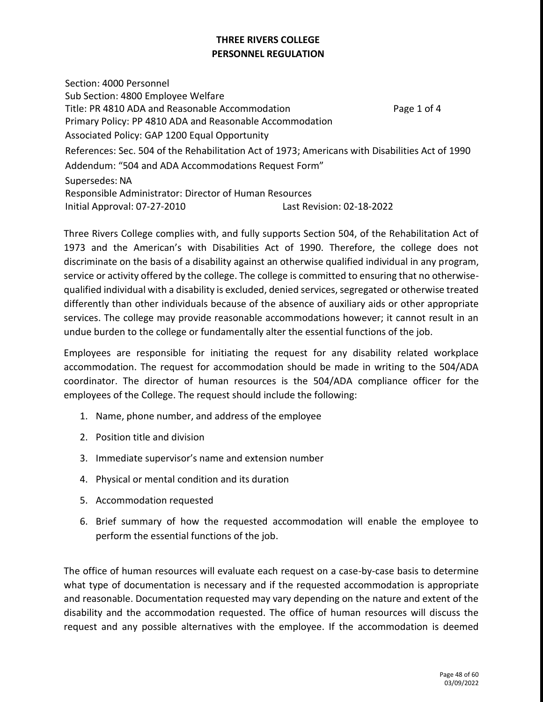Section: 4000 Personnel Sub Section: 4800 Employee Welfare Title: PR 4810 ADA and Reasonable Accommodation Page 1 of 4 Primary Policy: PP 4810 ADA and Reasonable Accommodation Associated Policy: GAP 1200 Equal Opportunity References: Sec. 504 of the Rehabilitation Act of 1973; Americans with Disabilities Act of 1990 Addendum: "504 and ADA Accommodations Request Form" Supersedes: NA Responsible Administrator: Director of Human Resources Initial Approval: 07-27-2010 Last Revision: 02-18-2022

Three Rivers College complies with, and fully supports Section 504, of the Rehabilitation Act of 1973 and the American's with Disabilities Act of 1990. Therefore, the college does not discriminate on the basis of a disability against an otherwise qualified individual in any program, service or activity offered by the college. The college is committed to ensuring that no otherwisequalified individual with a disability is excluded, denied services, segregated or otherwise treated differently than other individuals because of the absence of auxiliary aids or other appropriate services. The college may provide reasonable accommodations however; it cannot result in an undue burden to the college or fundamentally alter the essential functions of the job.

Employees are responsible for initiating the request for any disability related workplace accommodation. The request for accommodation should be made in writing to the 504/ADA coordinator. The director of human resources is the 504/ADA compliance officer for the employees of the College. The request should include the following:

- 1. Name, phone number, and address of the employee
- 2. Position title and division
- 3. Immediate supervisor's name and extension number
- 4. Physical or mental condition and its duration
- 5. Accommodation requested
- 6. Brief summary of how the requested accommodation will enable the employee to perform the essential functions of the job.

The office of human resources will evaluate each request on a case-by-case basis to determine what type of documentation is necessary and if the requested accommodation is appropriate and reasonable. Documentation requested may vary depending on the nature and extent of the disability and the accommodation requested. The office of human resources will discuss the request and any possible alternatives with the employee. If the accommodation is deemed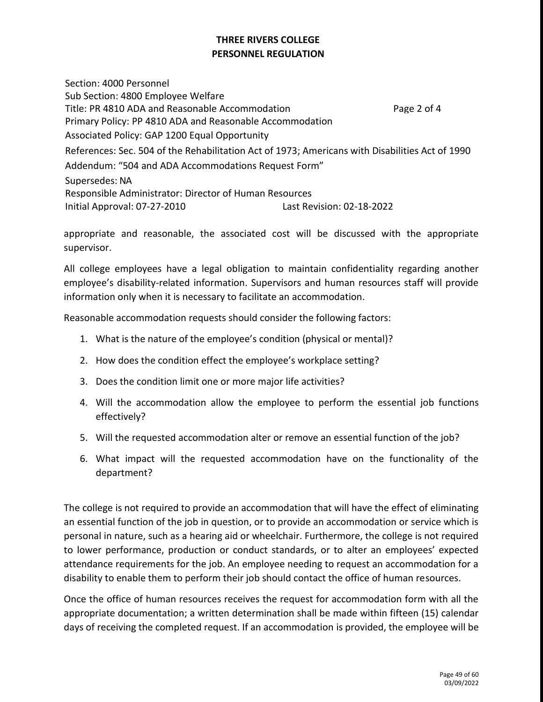Section: 4000 Personnel Sub Section: 4800 Employee Welfare Title: PR 4810 ADA and Reasonable Accommodation Page 2 of 4 Primary Policy: PP 4810 ADA and Reasonable Accommodation Associated Policy: GAP 1200 Equal Opportunity References: Sec. 504 of the Rehabilitation Act of 1973; Americans with Disabilities Act of 1990 Addendum: "504 and ADA Accommodations Request Form" Supersedes: NA Responsible Administrator: Director of Human Resources Initial Approval: 07-27-2010 Last Revision: 02-18-2022

appropriate and reasonable, the associated cost will be discussed with the appropriate supervisor.

All college employees have a legal obligation to maintain confidentiality regarding another employee's disability-related information. Supervisors and human resources staff will provide information only when it is necessary to facilitate an accommodation.

Reasonable accommodation requests should consider the following factors:

- 1. What is the nature of the employee's condition (physical or mental)?
- 2. How does the condition effect the employee's workplace setting?
- 3. Does the condition limit one or more major life activities?
- 4. Will the accommodation allow the employee to perform the essential job functions effectively?
- 5. Will the requested accommodation alter or remove an essential function of the job?
- 6. What impact will the requested accommodation have on the functionality of the department?

The college is not required to provide an accommodation that will have the effect of eliminating an essential function of the job in question, or to provide an accommodation or service which is personal in nature, such as a hearing aid or wheelchair. Furthermore, the college is not required to lower performance, production or conduct standards, or to alter an employees' expected attendance requirements for the job. An employee needing to request an accommodation for a disability to enable them to perform their job should contact the office of human resources.

Once the office of human resources receives the request for accommodation form with all the appropriate documentation; a written determination shall be made within fifteen (15) calendar days of receiving the completed request. If an accommodation is provided, the employee will be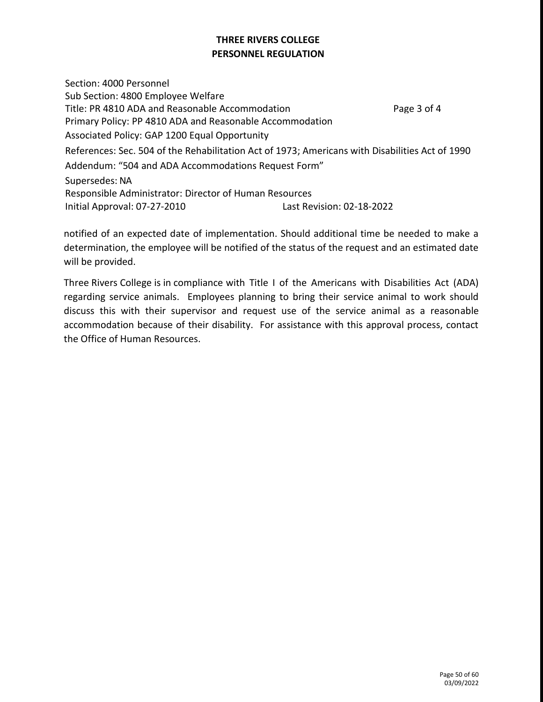Section: 4000 Personnel Sub Section: 4800 Employee Welfare Title: PR 4810 ADA and Reasonable Accommodation Page 3 of 4 Primary Policy: PP 4810 ADA and Reasonable Accommodation Associated Policy: GAP 1200 Equal Opportunity References: Sec. 504 of the Rehabilitation Act of 1973; Americans with Disabilities Act of 1990 Addendum: "504 and ADA Accommodations Request Form" Supersedes: NA Responsible Administrator: Director of Human Resources Initial Approval: 07-27-2010 Last Revision: 02-18-2022

notified of an expected date of implementation. Should additional time be needed to make a determination, the employee will be notified of the status of the request and an estimated date will be provided.

Three Rivers College is in compliance with Title I of the Americans with Disabilities Act (ADA) regarding service animals. Employees planning to bring their service animal to work should discuss this with their supervisor and request use of the service animal as a reasonable accommodation because of their disability. For assistance with this approval process, contact the Office of Human Resources.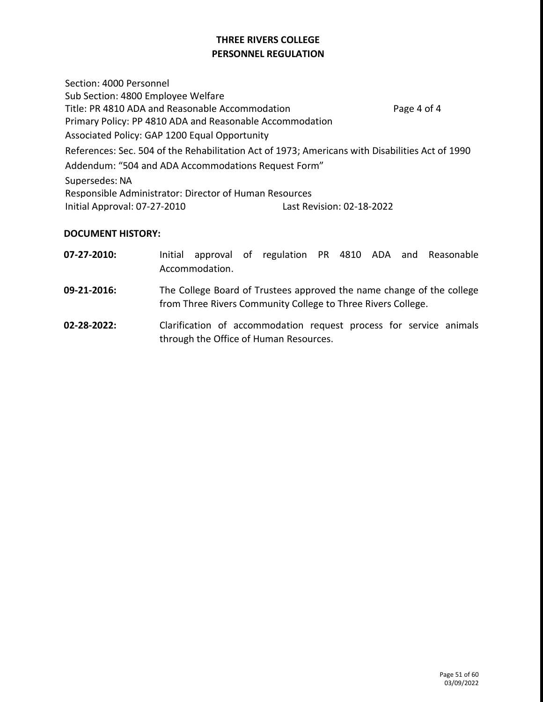Section: 4000 Personnel Sub Section: 4800 Employee Welfare Title: PR 4810 ADA and Reasonable Accommodation Page 4 of 4 Primary Policy: PP 4810 ADA and Reasonable Accommodation Associated Policy: GAP 1200 Equal Opportunity References: Sec. 504 of the Rehabilitation Act of 1973; Americans with Disabilities Act of 1990 Addendum: "504 and ADA Accommodations Request Form" Supersedes: NA Responsible Administrator: Director of Human Resources Initial Approval: 07-27-2010 Last Revision: 02-18-2022

#### **DOCUMENT HISTORY:**

- **07-27-2010:** Initial approval of regulation PR 4810 ADA and Reasonable Accommodation.
- **09-21-2016:** The College Board of Trustees approved the name change of the college from Three Rivers Community College to Three Rivers College.
- **02-28-2022:** Clarification of accommodation request process for service animals through the Office of Human Resources.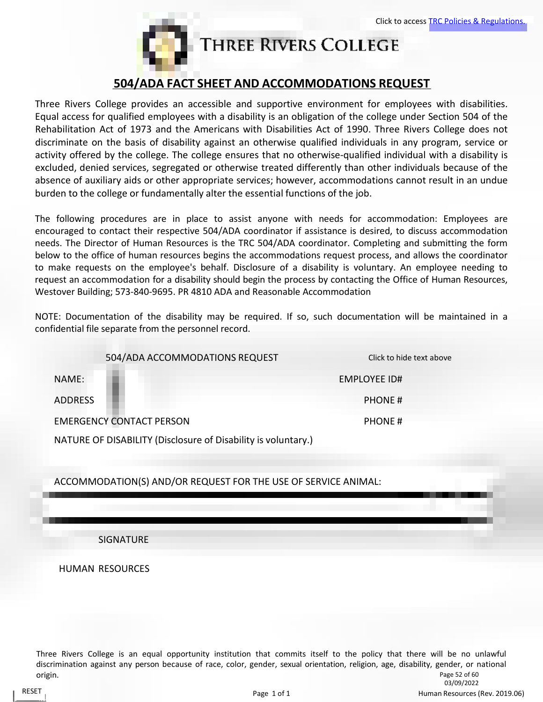

#### **504/ADA FACT SHEET AND ACCOMMODATIONS REQUEST**

Three Rivers College provides an accessible and supportive environment for employees with disabilities. Equal access for qualified employees with a disability is an obligation of the college under Section 504 of the Rehabilitation Act of 1973 and the Americans with Disabilities Act of 1990. Three Rivers College does not discriminate on the basis of disability against an otherwise qualified individuals in any program, service or activity offered by the college. The college ensures that no otherwise-qualified individual with a disability is excluded, denied services, segregated or otherwise treated differently than other individuals because of the absence of auxiliary aids or other appropriate services; however, accommodations cannot result in an undue burden to the college or fundamentally alter the essential functions of the job.

The following procedures are in place to assist anyone with needs for accommodation: Employees are encouraged to contact their respective 504/ADA coordinator if assistance is desired, to discuss accommodation needs. The Director of Human Resources is the TRC 504/ADA coordinator. Completing and submitting the form below to the office of human resources begins the accommodations request process, and allows the coordinator to make requests on the employee's behalf. Disclosure of a disability is voluntary. An employee needing to request an accommodation for a disability should begin the process by contacting the Office of Human Resources, Westover Building; 573-840-9695. PR 4810 ADA and Reasonable Accommodation

NOTE: Documentation of the disability may be required. If so, such documentation will be maintained in a confidential file separate from the personnel record.

|                | 504/ADA ACCOMMODATIONS REQUEST                                | Click to hide text above |
|----------------|---------------------------------------------------------------|--------------------------|
| NAME:          |                                                               | EMPLOYEE ID#             |
| <b>ADDRESS</b> |                                                               | <b>PHONE#</b>            |
|                | <b>EMERGENCY CONTACT PERSON</b>                               | <b>PHONE#</b>            |
|                | NATURE OF DISABILITY (Disclosure of Disability is voluntary.) |                          |

ACCOMMODATION(S) AND/OR REQUEST FOR THE USE OF SERVICE ANIMAL:

SIGNATURE

HUMAN RESOURCES

Three Rivers College is an equal opportunity institution that commits itself to the policy that there will be no unlawful discrimination against any person because of race, color, gender, sexual orientation, religion, age, disability, gender, or national origin. Page 52 of 60 03/09/2022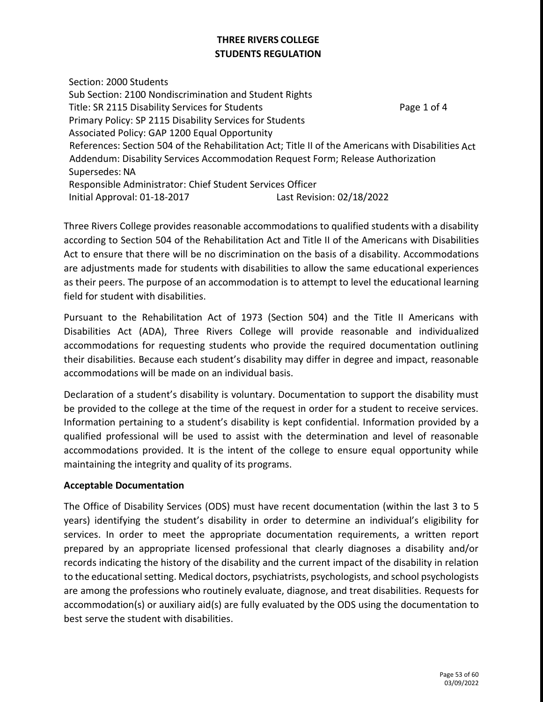Section: 2000 Students Sub Section: 2100 Nondiscrimination and Student Rights Title: SR 2115 Disability Services for Students Title: SR 2115 Disability Services for Students Primary Policy: SP 2115 Disability Services for Students Associated Policy: GAP 1200 Equal Opportunity References: Section 504 of the Rehabilitation Act; Title II of the Americans with Disabilities Act Addendum: Disability Services Accommodation Request Form; Release Authorization Supersedes: NA Responsible Administrator: Chief Student Services Officer Initial Approval: 01-18-2017 Last Revision: 02/18/2022

Three Rivers College provides reasonable accommodations to qualified students with a disability according to Section 504 of the Rehabilitation Act and Title II of the Americans with Disabilities Act to ensure that there will be no discrimination on the basis of a disability. Accommodations are adjustments made for students with disabilities to allow the same educational experiences as their peers. The purpose of an accommodation is to attempt to level the educational learning field for student with disabilities.

Pursuant to the Rehabilitation Act of 1973 (Section 504) and the Title II Americans with Disabilities Act (ADA), Three Rivers College will provide reasonable and individualized accommodations for requesting students who provide the required documentation outlining their disabilities. Because each student's disability may differ in degree and impact, reasonable accommodations will be made on an individual basis.

Declaration of a student's disability is voluntary. Documentation to support the disability must be provided to the college at the time of the request in order for a student to receive services. Information pertaining to a student's disability is kept confidential. Information provided by a qualified professional will be used to assist with the determination and level of reasonable accommodations provided. It is the intent of the college to ensure equal opportunity while maintaining the integrity and quality of its programs.

#### **Acceptable Documentation**

The Office of Disability Services (ODS) must have recent documentation (within the last 3 to 5 years) identifying the student's disability in order to determine an individual's eligibility for services. In order to meet the appropriate documentation requirements, a written report prepared by an appropriate licensed professional that clearly diagnoses a disability and/or records indicating the history of the disability and the current impact of the disability in relation to the educational setting. Medical doctors, psychiatrists, psychologists, and school psychologists are among the professions who routinely evaluate, diagnose, and treat disabilities. Requests for accommodation(s) or auxiliary aid(s) are fully evaluated by the ODS using the documentation to best serve the student with disabilities.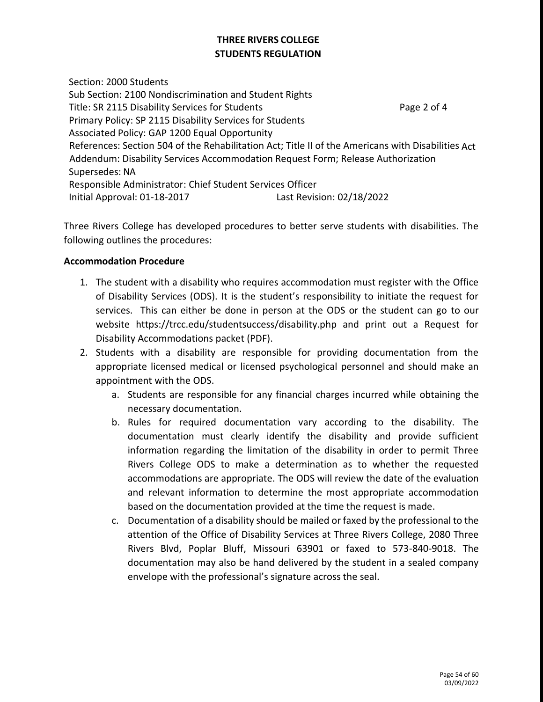Section: 2000 Students Sub Section: 2100 Nondiscrimination and Student Rights Title: SR 2115 Disability Services for Students Page 2 of 4 Primary Policy: SP 2115 Disability Services for Students Associated Policy: GAP 1200 Equal Opportunity References: Section 504 of the Rehabilitation Act; Title II of the Americans with Disabilities Act Addendum: Disability Services Accommodation Request Form; Release Authorization Supersedes: NA Responsible Administrator: Chief Student Services Officer Initial Approval: 01-18-2017 Last Revision: 02/18/2022

Three Rivers College has developed procedures to better serve students with disabilities. The following outlines the procedures:

#### **Accommodation Procedure**

- 1. The student with a disability who requires accommodation must register with the Office of Disability Services (ODS). It is the student's responsibility to initiate the request for services. This can either be done in person at the ODS or the student can go to our website https://trcc.edu/studentsuccess/disability.php and print out a Request for Disability Accommodations packet (PDF).
- 2. Students with a disability are responsible for providing documentation from the appropriate licensed medical or licensed psychological personnel and should make an appointment with the ODS.
	- a. Students are responsible for any financial charges incurred while obtaining the necessary documentation.
	- b. Rules for required documentation vary according to the disability. The documentation must clearly identify the disability and provide sufficient information regarding the limitation of the disability in order to permit Three Rivers College ODS to make a determination as to whether the requested accommodations are appropriate. The ODS will review the date of the evaluation and relevant information to determine the most appropriate accommodation based on the documentation provided at the time the request is made.
	- c. Documentation of a disability should be mailed or faxed by the professional to the attention of the Office of Disability Services at Three Rivers College, 2080 Three Rivers Blvd, Poplar Bluff, Missouri 63901 or faxed to 573-840-9018. The documentation may also be hand delivered by the student in a sealed company envelope with the professional's signature across the seal.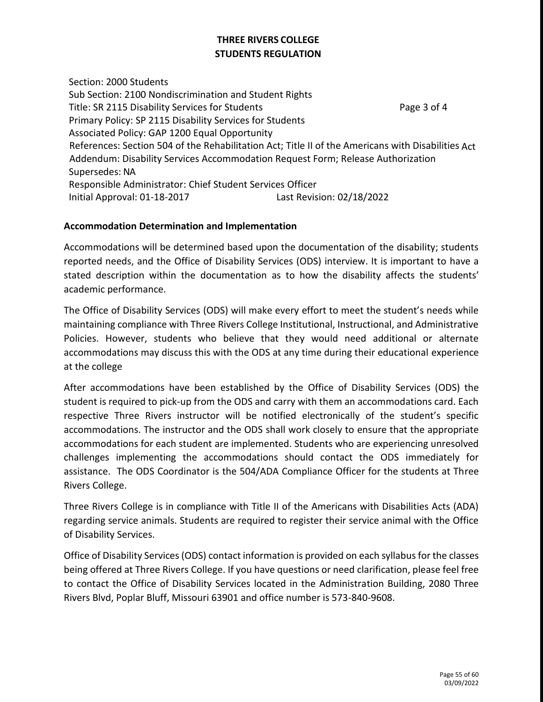Section: 2000 Students Sub Section: 2100 Nondiscrimination and Student Rights Title: SR 2115 Disability Services for Students Title: SR 2115 Disability Services for Students Primary Policy: SP 2115 Disability Services for Students Associated Policy: GAP 1200 Equal Opportunity References: Section 504 of the Rehabilitation Act; Title II of the Americans with Disabilities Act Addendum: Disability Services Accommodation Request Form; Release Authorization Supersedes: NA Responsible Administrator: Chief Student Services Officer Initial Approval: 01-18-2017 Last Revision: 02/18/2022

#### **Accommodation Determination and Implementation**

Accommodations will be determined based upon the documentation of the disability; students reported needs, and the Office of Disability Services (ODS) interview. It is important to have a stated description within the documentation as to how the disability affects the students' academic performance.

The Office of Disability Services (ODS) will make every effort to meet the student's needs while maintaining compliance with Three Rivers College Institutional, Instructional, and Administrative Policies. However, students who believe that they would need additional or alternate accommodations may discuss this with the ODS at any time during their educational experience at the college

After accommodations have been established by the Office of Disability Services (ODS) the student is required to pick-up from the ODS and carry with them an accommodations card. Each respective Three Rivers instructor will be notified electronically of the student's specific accommodations. The instructor and the ODS shall work closely to ensure that the appropriate accommodations for each student are implemented. Students who are experiencing unresolved challenges implementing the accommodations should contact the ODS immediately for assistance. The ODS Coordinator is the 504/ADA Compliance Officer for the students at Three Rivers College.

Three Rivers College is in compliance with Title II of the Americans with Disabilities Acts (ADA) regarding service animals. Students are required to register their service animal with the Office of Disability Services.

Office of Disability Services (ODS) contact information is provided on each syllabus for the classes being offered at Three Rivers College. If you have questions or need clarification, please feel free to contact the Office of Disability Services located in the Administration Building, 2080 Three Rivers Blvd, Poplar Bluff, Missouri 63901 and office number is 573-840-9608.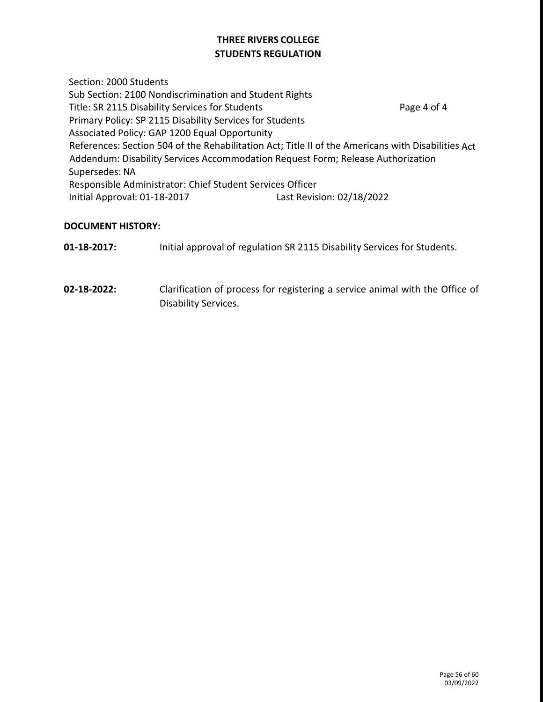Section: 2000 Students Sub Section: 2100 Nondiscrimination and Student Rights Title: SR 2115 Disability Services for Students Page 4 of 4 Primary Policy: SP 2115 Disability Services for Students Associated Policy: GAP 1200 Equal Opportunity References: Section 504 of the Rehabilitation Act; Title II of the Americans with Disabilities Act Addendum: Disability Services Accommodation Request Form; Release Authorization Supersedes: NA Responsible Administrator: Chief Student Services Officer Initial Approval: 01-18-2017 Last Revision: 02/18/2022

#### **DOCUMENT HISTORY:**

- **01-18-2017:** Initial approval of regulation SR 2115 Disability Services for Students.
- **02-18-2022:** Clarification of process for registering a service animal with the Office of Disability Services.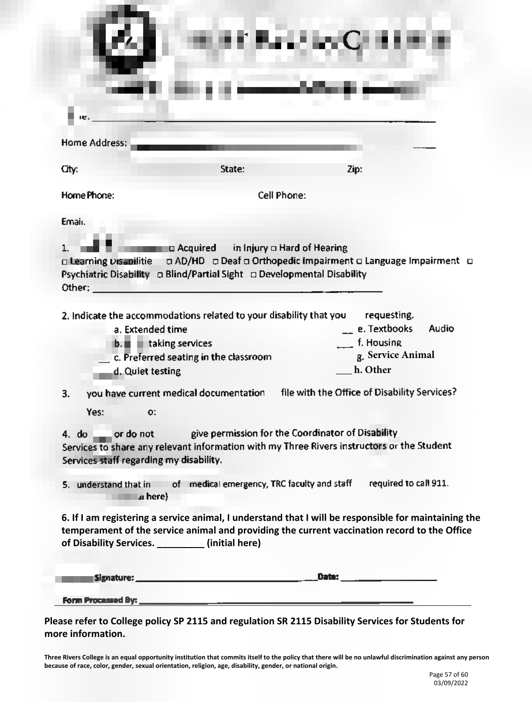| Home Address:                                                     |                                                                                                                          |                                                                                                                                                                                                      |
|-------------------------------------------------------------------|--------------------------------------------------------------------------------------------------------------------------|------------------------------------------------------------------------------------------------------------------------------------------------------------------------------------------------------|
| City:                                                             | State:                                                                                                                   | Zip:                                                                                                                                                                                                 |
| Home Phone:                                                       | Cell Phone:                                                                                                              |                                                                                                                                                                                                      |
| Email.                                                            |                                                                                                                          |                                                                                                                                                                                                      |
| <b>Q</b> Learning Disapilitie<br>Other: <b>All Contracts</b>      | <b>□ Acquired</b> in Injury □ Hard of Hearing<br>Psychiatric Disability o Blind/Partial Sight o Developmental Disability |                                                                                                                                                                                                      |
| a. Extended time<br>$b$ . $i$ taking services<br>d. Quiet testing | 2. Indicate the accommodations related to your disability that you<br>c. Preferred seating in the classroom              | requesting.<br>e. Textbooks<br><b>Audio</b><br>f. Housing<br>g. Service Animal<br>h. Other                                                                                                           |
| 3.                                                                | you have current medical documentation                                                                                   | file with the Office of Disability Services?                                                                                                                                                         |
| Yes:<br>$\mathbf{O}$<br>Services staff regarding my disability.   | 4. do _ or do not give permission for the Coordinator of Disability                                                      | Services to share any relevant information with my Three Rivers instructors or the Student                                                                                                           |
| 5. understand that in<br>$\blacksquare$ a here)                   | of medical emergency, TRC faculty and staff                                                                              | required to call 911.                                                                                                                                                                                |
| of Disability Services. _________(initial here)                   |                                                                                                                          | 6. If I am registering a service animal, I understand that I will be responsible for maintaining the<br>temperament of the service animal and providing the current vaccination record to the Office |
|                                                                   |                                                                                                                          |                                                                                                                                                                                                      |
|                                                                   |                                                                                                                          |                                                                                                                                                                                                      |

**Please refer to College policy SP 2115 and regulation SR 2115 Disability Services for Students for more information.**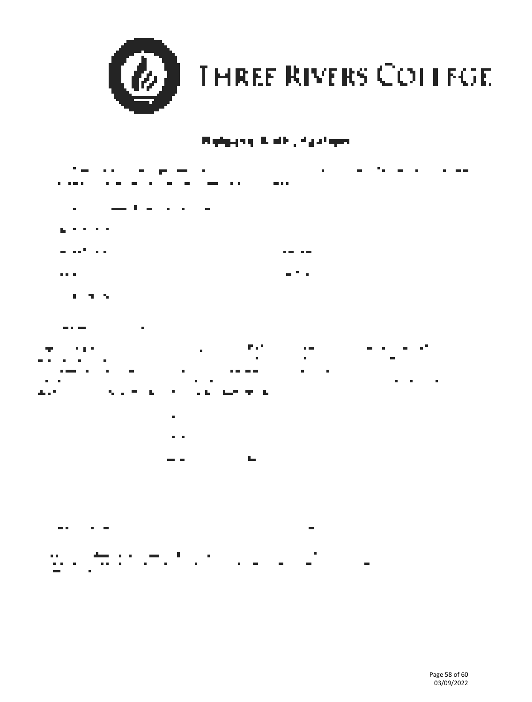

# THREE RIVERS COLLEGE

## Release .A uth cr1.zation

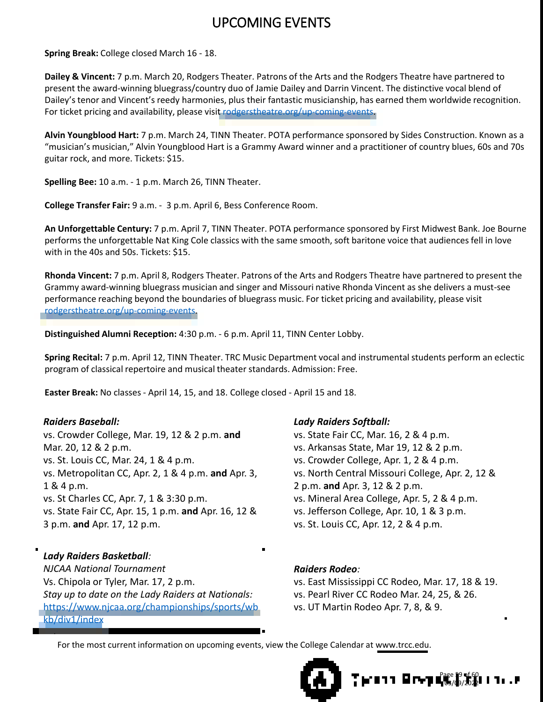# UPCOMING EVENTS

**Spring Break:** College closed March 16 - 18.

**Dailey & Vincent:** 7 p.m. March 20, Rodgers Theater. Patrons of the Arts and the Rodgers Theatre have partnered to present the award-winning bluegrass/country duo of Jamie Dailey and Darrin Vincent. The distinctive vocal blend of Dailey's tenor and Vincent's reedy harmonies, plus their fantastic musicianship, has earned them worldwide recognition. For ticket pricing and availability, please visit [rodgerstheatre.org/up-coming-events.](https://www.rodgerstheatre.org/up-coming-events)

**Alvin Youngblood Hart:** 7 p.m. March 24, TINN Theater. POTA performance sponsored by Sides Construction. Known as a "musician's musician," Alvin Youngblood Hart is a Grammy Award winner and a practitioner of country blues, 60s and 70s guitar rock, and more. Tickets: \$15.

**Spelling Bee:** 10 a.m. - 1 p.m. March 26, TINN Theater.

**College Transfer Fair:** 9 a.m. - 3 p.m. April 6, Bess Conference Room.

**An Unforgettable Century:** 7 p.m. April 7, TINN Theater. POTA performance sponsored by First Midwest Bank. Joe Bourne performs the unforgettable Nat King Cole classics with the same smooth, soft baritone voice that audiences fell in love with in the 40s and 50s. Tickets: \$15.

**Rhonda Vincent:** 7 p.m. April 8, Rodgers Theater. Patrons of the Arts and Rodgers Theatre have partnered to present the Grammy award-winning bluegrass musician and singer and Missouri native Rhonda Vincent as she delivers a must-see performance reaching beyond the boundaries of bluegrass music. For ticket pricing and availability, please visit [rodgerstheatre.org/up-coming-events](https://www.rodgerstheatre.org/up-coming-events).

**Distinguished Alumni Reception:** 4:30 p.m. - 6 p.m. April 11, TINN Center Lobby.

**Spring Recital:** 7 p.m. April 12, TINN Theater. TRC Music Department vocal and instrumental students perform an eclectic program of classical repertoire and musical theater standards. Admission: Free.

**Easter Break:** No classes - April 14, 15, and 18. College closed - April 15 and 18.

#### *Raiders Baseball:*

vs. Crowder College, Mar. 19, 12 & 2 p.m. **and**  Mar. 20, 12 & 2 p.m. vs. St. Louis CC, Mar. 24, 1 & 4 p.m. vs. Metropolitan CC, Apr. 2, 1 & 4 p.m. **and** Apr. 3, 1 & 4 p.m. vs. St Charles CC, Apr. 7, 1 & 3:30 p.m. vs. State Fair CC, Apr. 15, 1 p.m. **and** Apr. 16, 12 & 3 p.m. **and** Apr. 17, 12 p.m.

#### *Lady Raiders Basketball:*

.

*NJCAA National Tournament* Vs. Chipola or Tyler, Mar. 17, 2 p.m. *Stay up to date on the Lady Raiders at Nationals:*  https://www.njcaa.org/championships/sports/wb kb/div1/index

#### *Lady Raiders Softball:*

vs. State Fair CC, Mar. 16, 2 & 4 p.m. vs. Arkansas State, Mar 19, 12 & 2 p.m. vs. Crowder College, Apr. 1, 2 & 4 p.m. vs. North Central Missouri College, Apr. 2, 12 & 2 p.m. **and** Apr. 3, 12 & 2 p.m. vs. Mineral Area College, Apr. 5, 2 & 4 p.m. vs. Jefferson College, Apr. 10, 1 & 3 p.m. vs. St. Louis CC, Apr. 12, 2 & 4 p.m.

#### *Raiders Rodeo:*

vs. East Mississippi CC Rodeo, Mar. 17, 18 & 19. vs. Pearl River CC Rodeo Mar. 24, 25, & 26. vs. UT Martin Rodeo Apr. 7, 8, & 9.

For the most current information on upcoming events, view the College Calendar at www.trcc.edu.